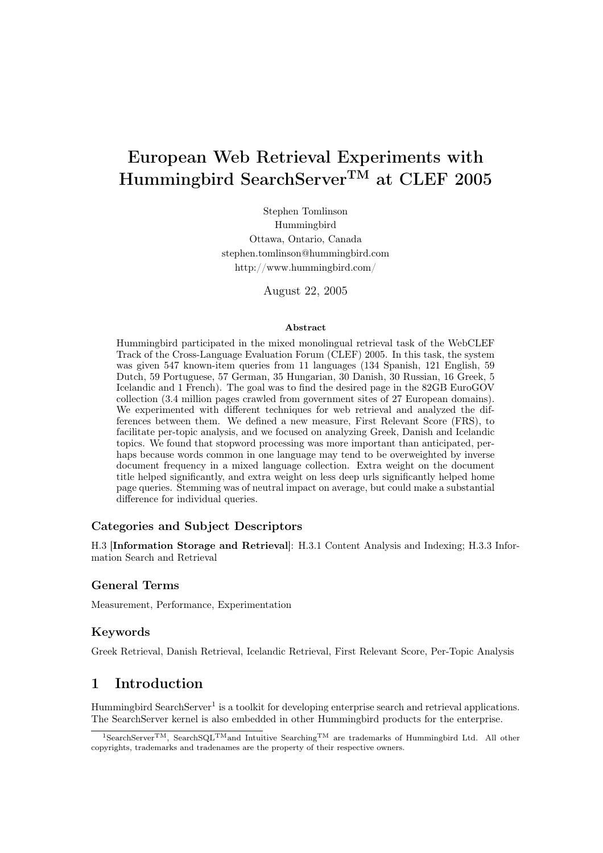# European Web Retrieval Experiments with Hummingbird SearchServerTM at CLEF 2005

Stephen Tomlinson Hummingbird Ottawa, Ontario, Canada stephen.tomlinson@hummingbird.com http://www.hummingbird.com/

August 22, 2005

#### Abstract

Hummingbird participated in the mixed monolingual retrieval task of the WebCLEF Track of the Cross-Language Evaluation Forum (CLEF) 2005. In this task, the system was given 547 known-item queries from 11 languages (134 Spanish, 121 English, 59 Dutch, 59 Portuguese, 57 German, 35 Hungarian, 30 Danish, 30 Russian, 16 Greek, 5 Icelandic and 1 French). The goal was to find the desired page in the 82GB EuroGOV collection (3.4 million pages crawled from government sites of 27 European domains). We experimented with different techniques for web retrieval and analyzed the differences between them. We defined a new measure, First Relevant Score (FRS), to facilitate per-topic analysis, and we focused on analyzing Greek, Danish and Icelandic topics. We found that stopword processing was more important than anticipated, perhaps because words common in one language may tend to be overweighted by inverse document frequency in a mixed language collection. Extra weight on the document title helped significantly, and extra weight on less deep urls significantly helped home page queries. Stemming was of neutral impact on average, but could make a substantial difference for individual queries.

### Categories and Subject Descriptors

H.3 [Information Storage and Retrieval]: H.3.1 Content Analysis and Indexing; H.3.3 Information Search and Retrieval

#### General Terms

Measurement, Performance, Experimentation

#### Keywords

Greek Retrieval, Danish Retrieval, Icelandic Retrieval, First Relevant Score, Per-Topic Analysis

# 1 Introduction

Hummingbird SearchServer<sup>1</sup> is a toolkit for developing enterprise search and retrieval applications. The SearchServer kernel is also embedded in other Hummingbird products for the enterprise.

<sup>1</sup>SearchServerTM, SearchSQLTMand Intuitive SearchingTM are trademarks of Hummingbird Ltd. All other copyrights, trademarks and tradenames are the property of their respective owners.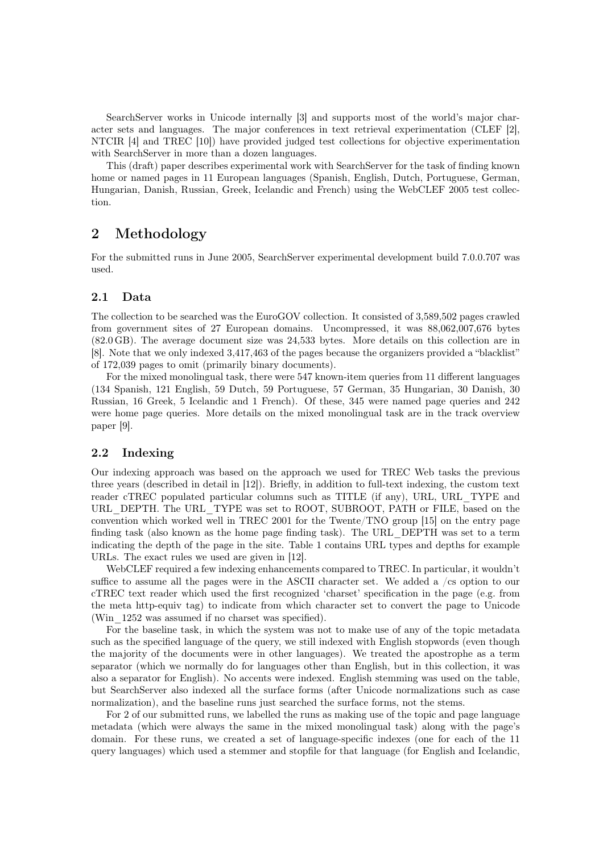SearchServer works in Unicode internally [3] and supports most of the world's major character sets and languages. The major conferences in text retrieval experimentation (CLEF [2], NTCIR [4] and TREC [10]) have provided judged test collections for objective experimentation with SearchServer in more than a dozen languages.

This (draft) paper describes experimental work with SearchServer for the task of finding known home or named pages in 11 European languages (Spanish, English, Dutch, Portuguese, German, Hungarian, Danish, Russian, Greek, Icelandic and French) using the WebCLEF 2005 test collection.

# 2 Methodology

For the submitted runs in June 2005, SearchServer experimental development build 7.0.0.707 was used.

### 2.1 Data

The collection to be searched was the EuroGOV collection. It consisted of 3,589,502 pages crawled from government sites of 27 European domains. Uncompressed, it was 88,062,007,676 bytes (82.0 GB). The average document size was 24,533 bytes. More details on this collection are in [8]. Note that we only indexed 3,417,463 of the pages because the organizers provided a "blacklist" of 172,039 pages to omit (primarily binary documents).

For the mixed monolingual task, there were 547 known-item queries from 11 different languages (134 Spanish, 121 English, 59 Dutch, 59 Portuguese, 57 German, 35 Hungarian, 30 Danish, 30 Russian, 16 Greek, 5 Icelandic and 1 French). Of these, 345 were named page queries and 242 were home page queries. More details on the mixed monolingual task are in the track overview paper [9].

### 2.2 Indexing

Our indexing approach was based on the approach we used for TREC Web tasks the previous three years (described in detail in [12]). Briefly, in addition to full-text indexing, the custom text reader cTREC populated particular columns such as TITLE (if any), URL, URL\_TYPE and URL DEPTH. The URL TYPE was set to ROOT, SUBROOT, PATH or FILE, based on the convention which worked well in TREC 2001 for the Twente/TNO group [15] on the entry page finding task (also known as the home page finding task). The URL\_DEPTH was set to a term indicating the depth of the page in the site. Table 1 contains URL types and depths for example URLs. The exact rules we used are given in [12].

WebCLEF required a few indexing enhancements compared to TREC. In particular, it wouldn't suffice to assume all the pages were in the ASCII character set. We added a /cs option to our cTREC text reader which used the first recognized 'charset' specification in the page (e.g. from the meta http-equiv tag) to indicate from which character set to convert the page to Unicode (Win\_1252 was assumed if no charset was specified).

For the baseline task, in which the system was not to make use of any of the topic metadata such as the specified language of the query, we still indexed with English stopwords (even though the majority of the documents were in other languages). We treated the apostrophe as a term separator (which we normally do for languages other than English, but in this collection, it was also a separator for English). No accents were indexed. English stemming was used on the table, but SearchServer also indexed all the surface forms (after Unicode normalizations such as case normalization), and the baseline runs just searched the surface forms, not the stems.

For 2 of our submitted runs, we labelled the runs as making use of the topic and page language metadata (which were always the same in the mixed monolingual task) along with the page's domain. For these runs, we created a set of language-specific indexes (one for each of the 11 query languages) which used a stemmer and stopfile for that language (for English and Icelandic,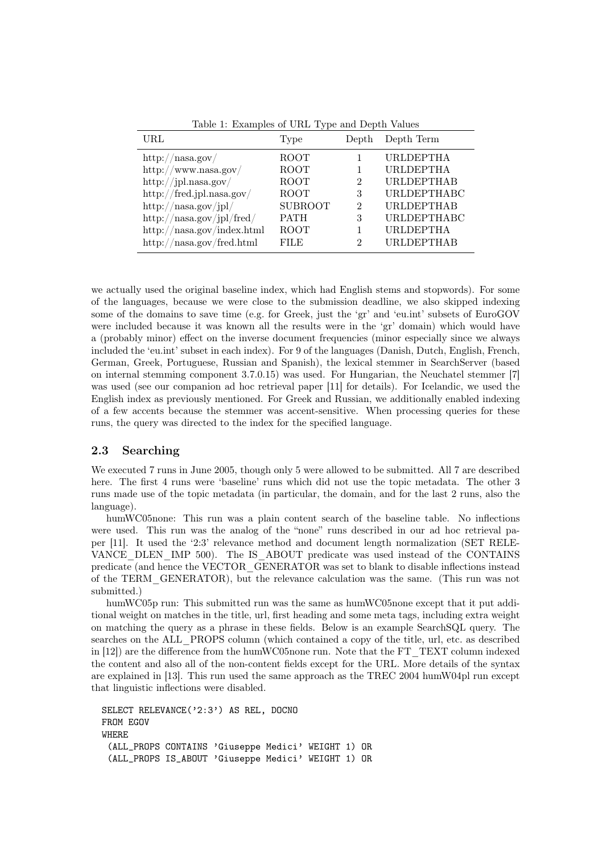| URL                                 | Type           | Depth          | Depth Term         |
|-------------------------------------|----------------|----------------|--------------------|
| http://nasa.gov/                    | ROOT           |                | URLDEPTHA          |
| $\frac{http://www.nasa.gov/}{$      | <b>ROOT</b>    |                | <b>URLDEPTHA</b>   |
| $\frac{http://jpl.}$ nasa.gov/      | <b>ROOT</b>    | $\mathfrak{D}$ | <b>URLDEPTHAB</b>  |
| http://fred.jpl.nasa.gov/           | <b>ROOT</b>    | 3              | <b>URLDEPTHABC</b> |
| $\frac{http://nasa.gov/jpl/}{$      | <b>SUBROOT</b> | 2              | <b>URLDEPTHAB</b>  |
| $\frac{http://nasa.gov/jpl/fred/$   | <b>PATH</b>    | 3              | <b>URLDEPTHABC</b> |
| http://nasa.gov/index.html          | <b>ROOT</b>    |                | <b>URLDEPTHA</b>   |
| $\frac{http://nasa.gov/fred.html}{$ | FILE           | 2              | <b>URLDEPTHAB</b>  |

Table 1: Examples of URL Type and Depth Values

we actually used the original baseline index, which had English stems and stopwords). For some of the languages, because we were close to the submission deadline, we also skipped indexing some of the domains to save time (e.g. for Greek, just the 'gr' and 'eu.int' subsets of EuroGOV were included because it was known all the results were in the 'gr' domain) which would have a (probably minor) effect on the inverse document frequencies (minor especially since we always included the 'eu.int' subset in each index). For 9 of the languages (Danish, Dutch, English, French, German, Greek, Portuguese, Russian and Spanish), the lexical stemmer in SearchServer (based on internal stemming component 3.7.0.15) was used. For Hungarian, the Neuchatel stemmer [7] was used (see our companion ad hoc retrieval paper [11] for details). For Icelandic, we used the English index as previously mentioned. For Greek and Russian, we additionally enabled indexing of a few accents because the stemmer was accent-sensitive. When processing queries for these runs, the query was directed to the index for the specified language.

# 2.3 Searching

We executed 7 runs in June 2005, though only 5 were allowed to be submitted. All 7 are described here. The first 4 runs were 'baseline' runs which did not use the topic metadata. The other 3 runs made use of the topic metadata (in particular, the domain, and for the last 2 runs, also the language).

humWC05none: This run was a plain content search of the baseline table. No inflections were used. This run was the analog of the "none" runs described in our ad hoc retrieval paper [11]. It used the '2:3' relevance method and document length normalization (SET RELE-VANCE\_DLEN\_IMP 500). The IS\_ABOUT predicate was used instead of the CONTAINS predicate (and hence the VECTOR\_GENERATOR was set to blank to disable inflections instead of the TERM\_GENERATOR), but the relevance calculation was the same. (This run was not submitted.)

humWC05p run: This submitted run was the same as humWC05none except that it put additional weight on matches in the title, url, first heading and some meta tags, including extra weight on matching the query as a phrase in these fields. Below is an example SearchSQL query. The searches on the ALL\_PROPS column (which contained a copy of the title, url, etc. as described in [12]) are the difference from the humWC05none run. Note that the FT\_TEXT column indexed the content and also all of the non-content fields except for the URL. More details of the syntax are explained in [13]. This run used the same approach as the TREC 2004 humW04pl run except that linguistic inflections were disabled.

```
SELECT RELEVANCE('2:3') AS REL, DOCNO
FROM EGOV
WHERE
 (ALL_PROPS CONTAINS 'Giuseppe Medici' WEIGHT 1) OR
 (ALL_PROPS IS_ABOUT 'Giuseppe Medici' WEIGHT 1) OR
```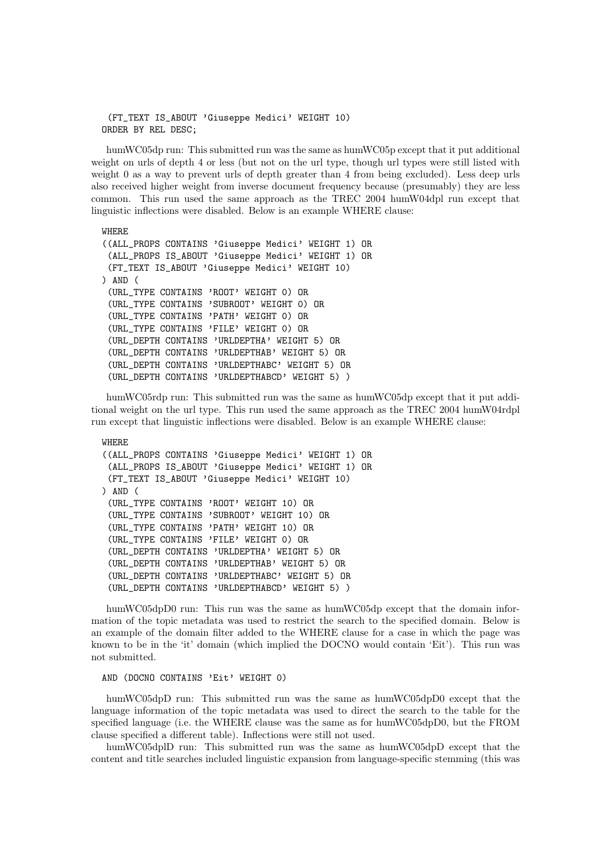(FT\_TEXT IS\_ABOUT 'Giuseppe Medici' WEIGHT 10) ORDER BY REL DESC;

humWC05dp run: This submitted run was the same as humWC05p except that it put additional weight on urls of depth 4 or less (but not on the url type, though url types were still listed with weight 0 as a way to prevent urls of depth greater than 4 from being excluded). Less deep urls also received higher weight from inverse document frequency because (presumably) they are less common. This run used the same approach as the TREC 2004 humW04dpl run except that linguistic inflections were disabled. Below is an example WHERE clause:

```
WHERE
((ALL_PROPS CONTAINS 'Giuseppe Medici' WEIGHT 1) OR
 (ALL_PROPS IS_ABOUT 'Giuseppe Medici' WEIGHT 1) OR
 (FT_TEXT IS_ABOUT 'Giuseppe Medici' WEIGHT 10)
) AND (
 (URL_TYPE CONTAINS 'ROOT' WEIGHT 0) OR
 (URL_TYPE CONTAINS 'SUBROOT' WEIGHT 0) OR
 (URL_TYPE CONTAINS 'PATH' WEIGHT 0) OR
 (URL_TYPE CONTAINS 'FILE' WEIGHT 0) OR
 (URL_DEPTH CONTAINS 'URLDEPTHA' WEIGHT 5) OR
 (URL_DEPTH CONTAINS 'URLDEPTHAB' WEIGHT 5) OR
 (URL_DEPTH CONTAINS 'URLDEPTHABC' WEIGHT 5) OR
 (URL_DEPTH CONTAINS 'URLDEPTHABCD' WEIGHT 5) )
```
humWC05rdp run: This submitted run was the same as humWC05dp except that it put additional weight on the url type. This run used the same approach as the TREC 2004 humW04rdpl run except that linguistic inflections were disabled. Below is an example WHERE clause:

```
WHERE
((ALL_PROPS CONTAINS 'Giuseppe Medici' WEIGHT 1) OR
 (ALL_PROPS IS_ABOUT 'Giuseppe Medici' WEIGHT 1) OR
 (FT_TEXT IS_ABOUT 'Giuseppe Medici' WEIGHT 10)
) AND (
 (URL_TYPE CONTAINS 'ROOT' WEIGHT 10) OR
 (URL_TYPE CONTAINS 'SUBROOT' WEIGHT 10) OR
 (URL_TYPE CONTAINS 'PATH' WEIGHT 10) OR
 (URL_TYPE CONTAINS 'FILE' WEIGHT 0) OR
 (URL_DEPTH CONTAINS 'URLDEPTHA' WEIGHT 5) OR
 (URL_DEPTH CONTAINS 'URLDEPTHAB' WEIGHT 5) OR
 (URL_DEPTH CONTAINS 'URLDEPTHABC' WEIGHT 5) OR
 (URL_DEPTH CONTAINS 'URLDEPTHABCD' WEIGHT 5) )
```
humWC05dpD0 run: This run was the same as humWC05dp except that the domain information of the topic metadata was used to restrict the search to the specified domain. Below is an example of the domain filter added to the WHERE clause for a case in which the page was known to be in the 'it' domain (which implied the DOCNO would contain 'Eit'). This run was not submitted.

AND (DOCNO CONTAINS 'Eit' WEIGHT 0)

humWC05dpD run: This submitted run was the same as humWC05dpD0 except that the language information of the topic metadata was used to direct the search to the table for the specified language (i.e. the WHERE clause was the same as for humWC05dpD0, but the FROM clause specified a different table). Inflections were still not used.

humWC05dplD run: This submitted run was the same as humWC05dpD except that the content and title searches included linguistic expansion from language-specific stemming (this was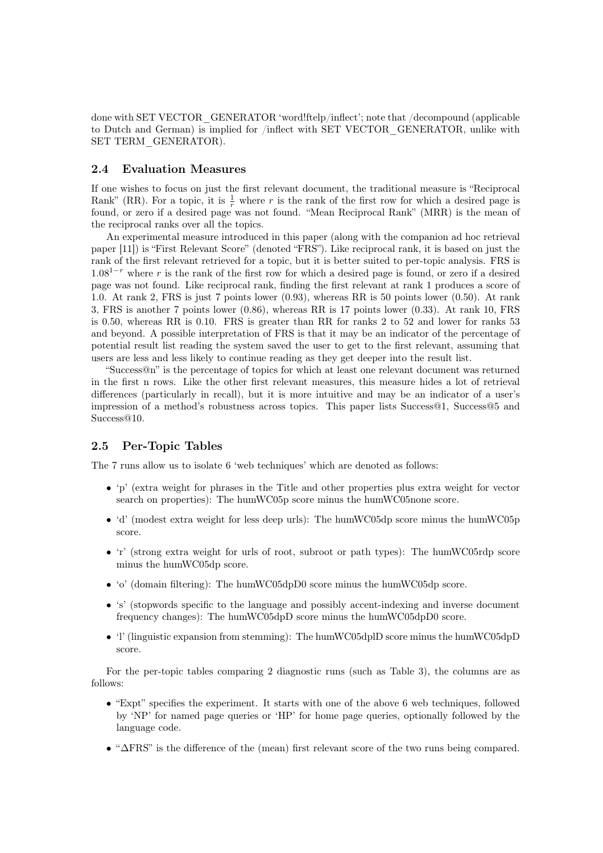done with SET VECTOR\_GENERATOR 'word!ftelp/inflect'; note that /decompound (applicable to Dutch and German) is implied for /inflect with SET VECTOR\_GENERATOR, unlike with SET TERM\_GENERATOR).

#### 2.4 Evaluation Measures

If one wishes to focus on just the first relevant document, the traditional measure is "Reciprocal Rank" (RR). For a topic, it is  $\frac{1}{r}$  where r is the rank of the first row for which a desired page is found, or zero if a desired page was not found. "Mean Reciprocal Rank" (MRR) is the mean of the reciprocal ranks over all the topics.

An experimental measure introduced in this paper (along with the companion ad hoc retrieval paper [11]) is "First Relevant Score" (denoted "FRS"). Like reciprocal rank, it is based on just the rank of the first relevant retrieved for a topic, but it is better suited to per-topic analysis. FRS is  $1.08<sup>1-r</sup>$  where r is the rank of the first row for which a desired page is found, or zero if a desired page was not found. Like reciprocal rank, finding the first relevant at rank 1 produces a score of 1.0. At rank 2, FRS is just 7 points lower (0.93), whereas RR is 50 points lower (0.50). At rank 3, FRS is another 7 points lower (0.86), whereas RR is 17 points lower (0.33). At rank 10, FRS is 0.50, whereas RR is 0.10. FRS is greater than RR for ranks 2 to 52 and lower for ranks 53 and beyond. A possible interpretation of FRS is that it may be an indicator of the percentage of potential result list reading the system saved the user to get to the first relevant, assuming that users are less and less likely to continue reading as they get deeper into the result list.

"Success@n" is the percentage of topics for which at least one relevant document was returned in the first n rows. Like the other first relevant measures, this measure hides a lot of retrieval differences (particularly in recall), but it is more intuitive and may be an indicator of a user's impression of a method's robustness across topics. This paper lists Success@1, Success@5 and Success@10.

#### 2.5 Per-Topic Tables

The 7 runs allow us to isolate 6 'web techniques' which are denoted as follows:

- 'p' (extra weight for phrases in the Title and other properties plus extra weight for vector search on properties): The humWC05p score minus the humWC05none score.
- 'd' (modest extra weight for less deep urls): The humWC05dp score minus the humWC05p score.
- $\dot{r}$  (strong extra weight for urls of root, subroot or path types): The humWC05rdp score minus the humWC05dp score.
- 'o' (domain filtering): The humWC05dpD0 score minus the humWC05dp score.
- 's' (stopwords specific to the language and possibly accent-indexing and inverse document frequency changes): The humWC05dpD score minus the humWC05dpD0 score.
- 'l' (linguistic expansion from stemming): The humWC05dplD score minus the humWC05dpD score.

For the per-topic tables comparing 2 diagnostic runs (such as Table 3), the columns are as follows:

- "Expt" specifies the experiment. It starts with one of the above 6 web techniques, followed by 'NP' for named page queries or 'HP' for home page queries, optionally followed by the language code.
- "∆FRS" is the difference of the (mean) first relevant score of the two runs being compared.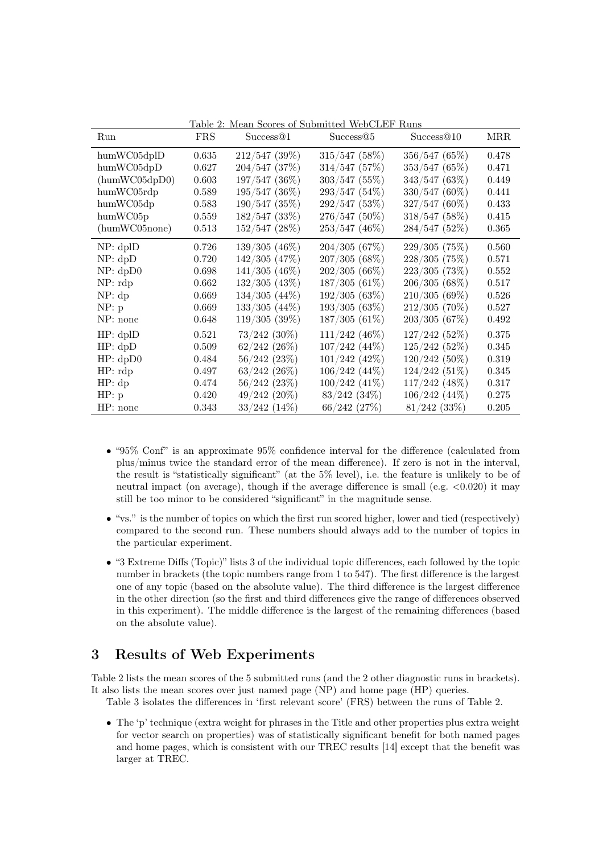| Run               | <b>FRS</b> | Success@1          | Success@5         | Success@10      | <b>MRR</b> |
|-------------------|------------|--------------------|-------------------|-----------------|------------|
| humWC05dpID       | 0.635      | 212/547(39%)       | 315/547(58%)      | 356/547(65%)    | 0.478      |
| humWC05dpD        | 0.627      | $204/547$ (37%)    | 314/547 (57%)     | 353/547(65%)    | 0.471      |
| (humWC05dpD0)     | 0.603      | $197/547$ (36%)    | $303/547$ (55%)   | 343/547(63%)    | 0.449      |
| humWC05rdp        | 0.589      | $195/547$ (36%)    | 293/547 (54%)     | $330/547(60\%)$ | 0.441      |
| humWC05dp         | 0.583      | 190/547 (35%)      | 292/547 (53%)     | $327/547(60\%)$ | 0.433      |
| $\text{humWC05p}$ | 0.559      | 182/547(33%)       | 276/547 (50%)     | 318/547(58%)    | 0.415      |
| (humWC05none)     | 0.513      | $152/547$ (28%)    | 253/547 (46%)     | 284/547(52%)    | 0.365      |
| NP: dpID          | 0.726      | $139/305(46\%)$    | 204/305(67%)      | 229/305(75%)    | 0.560      |
| NP: dpD           | 0.720      | $142/305$ $(47\%)$ | 207/305 (68%)     | $228/305$ (75%) | 0.571      |
| NP: dpD0          | 0.698      | $141/305$ (46%)    | $202/305(66\%)$   | $223/305$ (73%) | 0.552      |
| $NP:$ rdp         | 0.662      | $132/305$ (43%)    | $187/305(61\%)$   | 206/305(68%)    | 0.517      |
| NP: dp            | 0.669      | $134/305$ $(44\%)$ | 192/305(63%)      | 210/305(69%)    | 0.526      |
| NP: p             | 0.669      | $133/305$ $(44\%)$ | 193/305(63%)      | $212/305$ (70%) | 0.527      |
| NP: none          | 0.648      | 119/305(39%)       | $187/305(61\%)$   | 203/305(67%)    | 0.492      |
| HP: dpID          | 0.521      | $73/242$ $(30\%)$  | $111/242$ (46%)   | 127/242(52%)    | 0.375      |
| HP: dpD           | 0.509      | $62/242$ $(26\%)$  | $107/242$ (44%)   | $125/242$ (52%) | 0.345      |
| HP: dpD0          | 0.484      | $56/242$ $(23%)$   | $101/242$ (42%)   | $120/242$ (50%) | 0.319      |
| HP: rdp           | 0.497      | $63/242$ $(26\%)$  | $106/242(44\%)$   | $124/242$ (51%) | 0.345      |
| HP: dp            | 0.474      | $56/242$ $(23%)$   | $100/242$ (41\%)  | $117/242$ (48%) | 0.317      |
| HP: p             | 0.420      | $49/242$ $(20\%)$  | $83/242$ $(34\%)$ | $106/242(44\%)$ | 0.275      |
| HP: none          | 0.343      | $33/242$ $(14\%)$  | $66/242$ $(27%)$  | $81/242$ (33\%) | 0.205      |

Table 2: Mean Scores of Submitted WebCLEF Runs

- "95% Conf" is an approximate 95% confidence interval for the difference (calculated from plus/minus twice the standard error of the mean difference). If zero is not in the interval, the result is "statistically significant" (at the 5% level), i.e. the feature is unlikely to be of neutral impact (on average), though if the average difference is small (e.g.  $\langle 0.020 \rangle$ ) it may still be too minor to be considered "significant" in the magnitude sense.
- "vs." is the number of topics on which the first run scored higher, lower and tied (respectively) compared to the second run. These numbers should always add to the number of topics in the particular experiment.
- "3 Extreme Diffs (Topic)" lists 3 of the individual topic differences, each followed by the topic number in brackets (the topic numbers range from 1 to 547). The first difference is the largest one of any topic (based on the absolute value). The third difference is the largest difference in the other direction (so the first and third differences give the range of differences observed in this experiment). The middle difference is the largest of the remaining differences (based on the absolute value).

# 3 Results of Web Experiments

Table 2 lists the mean scores of the 5 submitted runs (and the 2 other diagnostic runs in brackets). It also lists the mean scores over just named page (NP) and home page (HP) queries.

Table 3 isolates the differences in 'first relevant score' (FRS) between the runs of Table 2.

• The 'p' technique (extra weight for phrases in the Title and other properties plus extra weight for vector search on properties) was of statistically significant benefit for both named pages and home pages, which is consistent with our TREC results [14] except that the benefit was larger at TREC.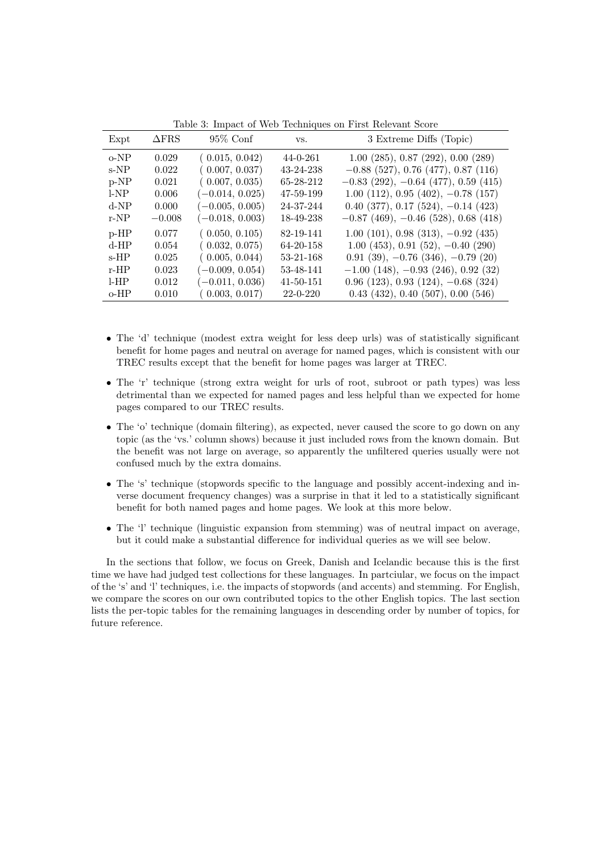| Expt     | $\Delta$ FRS | $95\%$ Conf       | VS.             | 3 Extreme Diffs (Topic)                   |
|----------|--------------|-------------------|-----------------|-------------------------------------------|
| $o-NP$   | 0.029        | (0.015, 0.042)    | $44 - 0 - 261$  | $1.00$ (285), 0.87 (292), 0.00 (289)      |
| $s-NP$   | 0.022        | (0.007, 0.037)    | 43-24-238       | $-0.88$ (527), 0.76 (477), 0.87 (116)     |
| $p-NP$   | 0.021        | (0.007, 0.035)    | 65-28-212       | $-0.83$ (292), $-0.64$ (477), 0.59 (415)  |
| l-NP     | 0.006        | $(-0.014, 0.025)$ | 47-59-199       | $1.00$ (112), 0.95 (402), $-0.78$ (157)   |
| $d-NP$   | 0.000        | $(-0.005, 0.005)$ | 24-37-244       | $0.40$ (377), $0.17$ (524), $-0.14$ (423) |
| $r-NP$   | $-0.008$     | $(-0.018, 0.003)$ | 18-49-238       | $-0.87$ (469), $-0.46$ (528), 0.68 (418)  |
| $p$ -HP  | 0.077        | (0.050, 0.105)    | 82-19-141       | $1.00$ (101), 0.98 (313), $-0.92$ (435)   |
| $d$ -HP  | 0.054        | (0.032, 0.075)    | 64-20-158       | $1.00(453), 0.91(52), -0.40(290)$         |
| $s$ -HP  | 0.025        | (0.005, 0.044)    | 53-21-168       | $0.91(39), -0.76(346), -0.79(20)$         |
| $r$ -HP  | 0.023        | $(-0.009, 0.054)$ | 53-48-141       | $-1.00$ (148), $-0.93$ (246), 0.92 (32)   |
| $1-HP$   | 0.012        | $(-0.011, 0.036)$ | $41 - 50 - 151$ | $0.96$ (123), $0.93$ (124), $-0.68$ (324) |
| $0 - HP$ | 0.010        | (0.003, 0.017)    | $22 - 0 - 220$  | $0.43$ (432), 0.40 (507), 0.00 (546)      |

Table 3: Impact of Web Techniques on First Relevant Score

- The 'd' technique (modest extra weight for less deep urls) was of statistically significant benefit for home pages and neutral on average for named pages, which is consistent with our TREC results except that the benefit for home pages was larger at TREC.
- The 'r' technique (strong extra weight for urls of root, subroot or path types) was less detrimental than we expected for named pages and less helpful than we expected for home pages compared to our TREC results.
- The 'o' technique (domain filtering), as expected, never caused the score to go down on any topic (as the 'vs.' column shows) because it just included rows from the known domain. But the benefit was not large on average, so apparently the unfiltered queries usually were not confused much by the extra domains.
- The 's' technique (stopwords specific to the language and possibly accent-indexing and inverse document frequency changes) was a surprise in that it led to a statistically significant benefit for both named pages and home pages. We look at this more below.
- The 'l' technique (linguistic expansion from stemming) was of neutral impact on average, but it could make a substantial difference for individual queries as we will see below.

In the sections that follow, we focus on Greek, Danish and Icelandic because this is the first time we have had judged test collections for these languages. In partciular, we focus on the impact of the 's' and 'l' techniques, i.e. the impacts of stopwords (and accents) and stemming. For English, we compare the scores on our own contributed topics to the other English topics. The last section lists the per-topic tables for the remaining languages in descending order by number of topics, for future reference.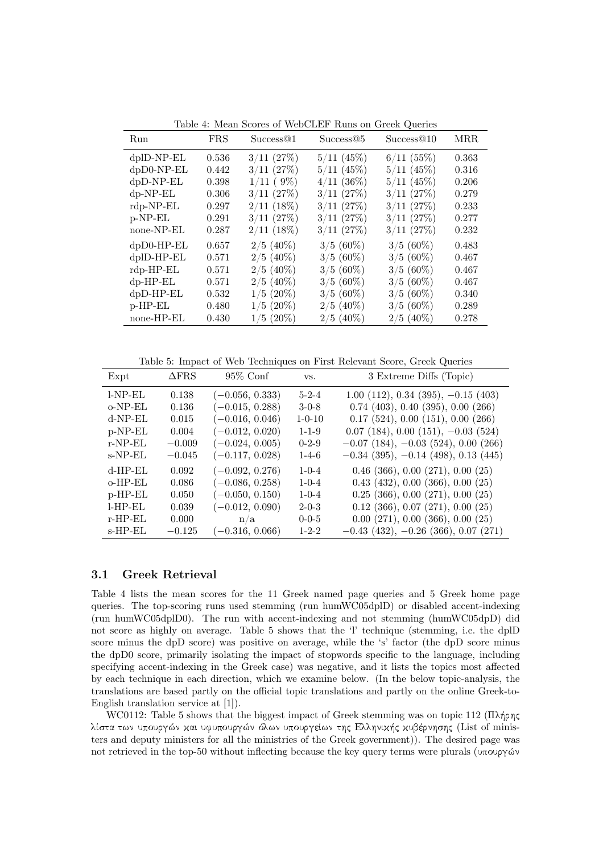| Run              | <b>FRS</b> | Success@1      | Success@5      | Success@10     | MR <sub>R</sub> |
|------------------|------------|----------------|----------------|----------------|-----------------|
| $dp$ ID-NP-EL    | 0.536      | $3/11$ $(27%)$ | $5/11$ (45%)   | $6/11$ (55%)   | 0.363           |
| dpD0-NP-EL       | 0.442      | $3/11$ $(27%)$ | $5/11$ (45%)   | $5/11$ (45%)   | 0.316           |
| dpD-NP-EL        | 0.398      | $1/11$ (9%)    | $4/11$ (36%)   | $5/11$ (45%)   | 0.206           |
| $dp-NP-EL$       | 0.306      | 3/11(27%)      | $3/11$ $(27%)$ | 3/11(27%)      | 0.279           |
| $rdp-NP-EL$      | 0.297      | $2/11$ (18%)   | $3/11$ $(27%)$ | $3/11$ $(27%)$ | 0.233           |
| $p-NP-EL$        | 0.291      | 3/11(27%)      | 3/11(27%)      | $3/11$ $(27%)$ | 0.277           |
| none-NP-EL       | 0.287      | $2/11$ (18%)   | 3/11(27%)      | 3/11(27%)      | 0.232           |
| $dpD0-HP-EL$     | 0.657      | $2/5$ (40%)    | $3/5~(60\%)$   | $3/5(60\%)$    | 0.483           |
| $d$ plD-HP- $EL$ | 0.571      | $2/5$ (40\%)   | $3/5(60\%)$    | $3/5(60\%)$    | 0.467           |
| $rdp$ -HP-EL     | 0.571      | $2/5$ (40%)    | $3/5(60\%)$    | $3/5(60\%)$    | 0.467           |
| $dp$ -HP-EL      | 0.571      | $2/5$ (40%)    | $3/5(60\%)$    | $3/5(60\%)$    | 0.467           |
| $dpD-HP-EL$      | 0.532      | $1/5(20\%)$    | $3/5(60\%)$    | $3/5(60\%)$    | 0.340           |
| $p$ -HP-EL       | 0.480      | $1/5$ (20%)    | $2/5$ (40%)    | $3/5(60\%)$    | 0.289           |
| none-HP-EL       | 0.430      | $1/5(20\%)$    | $2/5$ (40%)    | $2/5$ (40%)    | 0.278           |

Table 4: Mean Scores of WebCLEF Runs on Greek Queries

Table 5: Impact of Web Techniques on First Relevant Score, Greek Queries

| Expt       | $\triangle$ FRS | $95\%$ Conf       | VS.          | 3 Extreme Diffs (Topic)                         |
|------------|-----------------|-------------------|--------------|-------------------------------------------------|
| $LNP-EL$   | 0.138           | $(-0.056, 0.333)$ | $5 - 2 - 4$  | $1.00$ (112), 0.34 (395), $-0.15$ (403)         |
| $o-NP-EL$  | 0.136           | $(-0.015, 0.288)$ | $3-0-8$      | $0.74$ (403), 0.40 (395), 0.00 (266)            |
| $d-NP-EL$  | 0.015           | $(-0.016, 0.046)$ | $1 - 0 - 10$ | 0.17(524), 0.00(151), 0.00(266)                 |
| $p-NP-EL$  | 0.004           | $(-0.012, 0.020)$ | $1 - 1 - 9$  | $0.07$ (184), $0.00$ (151), $-0.03$ (524)       |
| $r-NP-EL$  | $-0.009$        | $(-0.024, 0.005)$ | $0 - 2 - 9$  | $-0.07$ (184), $-0.03$ (524), 0.00 (266)        |
| $s-NP-EL$  | $-0.045$        | $(-0.117, 0.028)$ | $1 - 4 - 6$  | $-0.34$ (395), $-0.14$ (498), 0.13 (445)        |
| $d$ -HP-EL | 0.092           | $(-0.092, 0.276)$ | $1 - 0 - 4$  | $0.46$ (366), $0.00$ (271), $0.00$ (25)         |
| $o$ -HP-EL | 0.086           | $(-0.086, 0.258)$ | $1 - 0 - 4$  | $0.43$ (432), $0.00$ (366), $0.00$ (25)         |
| $p$ -HP-EL | 0.050           | $(-0.050, 0.150)$ | $1 - 0 - 4$  | $0.25$ $(366)$ , $0.00$ $(271)$ , $0.00$ $(25)$ |
| $LHP-EL$   | 0.039           | $(-0.012, 0.090)$ | $2 - 0 - 3$  | $0.12$ (366), $0.07$ (271), $0.00$ (25)         |
| $r$ -HP-EL | 0.000           | n/a               | $0 - 0 - 5$  | 0.00(271), 0.00(366), 0.00(25)                  |
| $s$ -HP-EL | $-0.125$        | $(-0.316, 0.066)$ | $1 - 2 - 2$  | $-0.43$ (432), $-0.26$ (366), 0.07 (271)        |

#### 3.1 Greek Retrieval

Table 4 lists the mean scores for the 11 Greek named page queries and 5 Greek home page queries. The top-scoring runs used stemming (run humWC05dplD) or disabled accent-indexing (run humWC05dplD0). The run with accent-indexing and not stemming (humWC05dpD) did not score as highly on average. Table 5 shows that the 'l' technique (stemming, i.e. the dplD score minus the dpD score) was positive on average, while the 's' factor (the dpD score minus the dpD0 score, primarily isolating the impact of stopwords specific to the language, including specifying accent-indexing in the Greek case) was negative, and it lists the topics most affected by each technique in each direction, which we examine below. (In the below topic-analysis, the translations are based partly on the official topic translations and partly on the online Greek-to-English translation service at [1]).

WC0112: Table 5 shows that the biggest impact of Greek stemming was on topic 112 ( $\Pi\lambda\eta\gamma\zeta$ λίστα των υπουργών και υφυπουργών όλων υπουργείων της Ελληνικής κυβέρνησης (List of ministers and deputy ministers for all the ministries of the Greek government)). The desired page was not retrieved in the top-50 without inflecting because the key query terms were plurals ( $\alpha$ <sub>0</sub> $\alpha$ )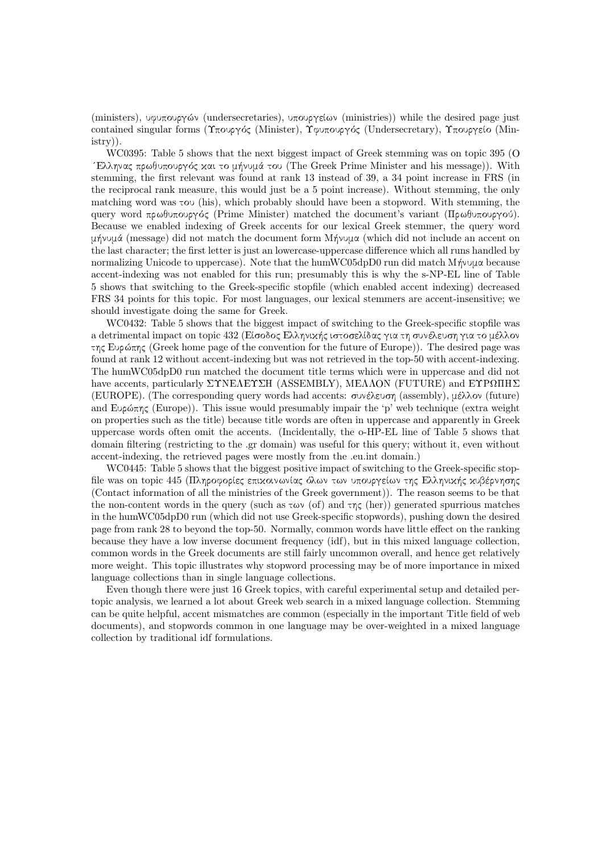(ministers), υφυπουργών (undersecretaries), υπουργείων (ministries)) while the desired page just contained singular forms (Υπουργός (Minister), Υφυπουργός (Undersecretary), Υπουργείο (Ministry)).

WC0395: Table 5 shows that the next biggest impact of Greek stemming was on topic 395 (O 'Ελληνας πρωθυπουργός και το μήνυμά του (The Greek Prime Minister and his message)). With stemming, the first relevant was found at rank 13 instead of 39, a 34 point increase in FRS (in the reciprocal rank measure, this would just be a 5 point increase). Without stemming, the only matching word was tou (his), which probably should have been a stopword. With stemming, the query word πρωθυπουργός (Prime Minister) matched the document's variant (Πρωθυπουργού). Because we enabled indexing of Greek accents for our lexical Greek stemmer, the query word  $\mu\gamma\gamma\gamma\mu\alpha$  (message) did not match the document form  $M\gamma\gamma\gamma\alpha$  (which did not include an accent on the last character; the first letter is just an lowercase-uppercase difference which all runs handled by normalizing Unicode to uppercase). Note that the humWC05dpD0 run did match  $M\dot{\gamma}$  because accent-indexing was not enabled for this run; presumably this is why the s-NP-EL line of Table 5 shows that switching to the Greek-specific stopfile (which enabled accent indexing) decreased FRS 34 points for this topic. For most languages, our lexical stemmers are accent-insensitive; we should investigate doing the same for Greek.

WC0432: Table 5 shows that the biggest impact of switching to the Greek-specific stopfile was a detrimental impact on topic 432 (Είσοδος Ελληνικής ιστοσελίδας για τη συνέλευση για το μέλλον  $\tau$ ης Ευρώπης (Greek home page of the convention for the future of Europe)). The desired page was found at rank 12 without accent-indexing but was not retrieved in the top-50 with accent-indexing. The humWC05dpD0 run matched the document title terms which were in uppercase and did not have accents, particularly  $\Sigma$ TNEAET $\Sigma$ H (ASSEMBLY), MEAAON (FUTURE) and ETP $\Omega$ HH $\Sigma$ (EUROPE). (The corresponding query words had accents:  $\sigma$ υνέλευση (assembly), μέλλον (future) and Eup $\varphi$ <sub>ns</sub> (Europe)). This issue would presumably impair the 'p' web technique (extra weight) on properties such as the title) because title words are often in uppercase and apparently in Greek uppercase words often omit the accents. (Incidentally, the o-HP-EL line of Table 5 shows that domain filtering (restricting to the .gr domain) was useful for this query; without it, even without accent-indexing, the retrieved pages were mostly from the .eu.int domain.)

WC0445: Table 5 shows that the biggest positive impact of switching to the Greek-specific stopfile was on topic 445 (Πληροφορίες επιχοινωνίας όλων των υπουργείων της Ελληνιχής χυβέρνησης (Contact information of all the ministries of the Greek government)). The reason seems to be that the non-content words in the query (such as  $\tau \omega \nu$  (of) and  $\tau \eta \zeta$  (her)) generated spurrious matches in the humWC05dpD0 run (which did not use Greek-specific stopwords), pushing down the desired page from rank 28 to beyond the top-50. Normally, common words have little effect on the ranking because they have a low inverse document frequency (idf), but in this mixed language collection, common words in the Greek documents are still fairly uncommon overall, and hence get relatively more weight. This topic illustrates why stopword processing may be of more importance in mixed language collections than in single language collections.

Even though there were just 16 Greek topics, with careful experimental setup and detailed pertopic analysis, we learned a lot about Greek web search in a mixed language collection. Stemming can be quite helpful, accent mismatches are common (especially in the important Title field of web documents), and stopwords common in one language may be over-weighted in a mixed language collection by traditional idf formulations.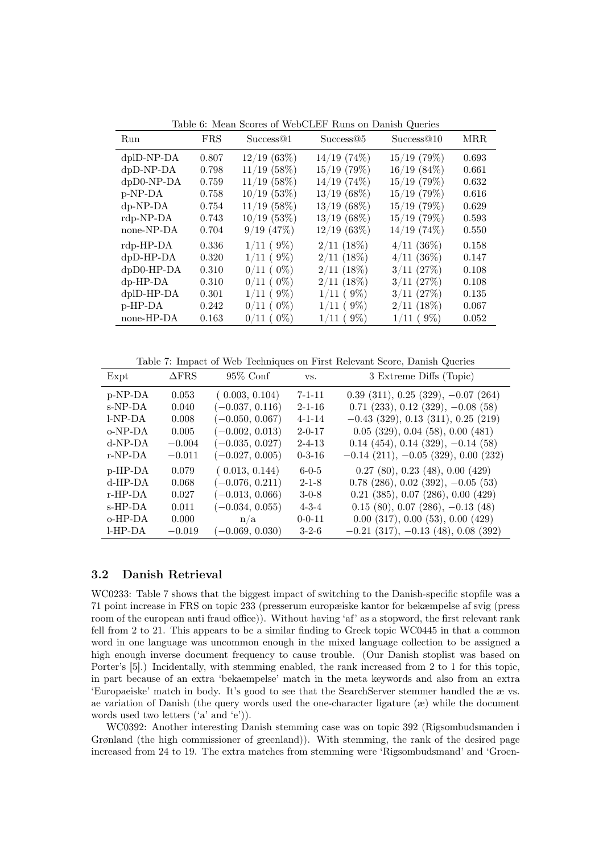| Run          | <b>FRS</b> | Success@1        | Success@5      | Success@10     | <b>MRR</b> |
|--------------|------------|------------------|----------------|----------------|------------|
| $dplD-NP-DA$ | 0.807      | 12/19(63%)       | $14/19$ (74\%) | $15/19$ (79%)  | 0.693      |
| $dpD-NP-DA$  | 0.798      | $11/19$ (58%)    | $15/19$ (79%)  | 16/19(84%)     | 0.661      |
| dpD0-NP-DA   | 0.759      | $11/19$ (58%)    | $14/19$ (74%)  | $15/19$ (79%)  | 0.632      |
| p-NP-DA      | 0.758      | $10/19$ (53%)    | $13/19(68\%)$  | $15/19$ (79%)  | 0.616      |
| $dp-NP-DA$   | 0.754      | $11/19$ (58%)    | $13/19(68\%)$  | $15/19$ (79%)  | 0.629      |
| rdp-NP-DA    | 0.743      | $10/19$ (53%)    | $13/19(68\%)$  | $15/19$ (79%)  | 0.593      |
| none-NP-DA   | 0.704      | $9/19$ $(47%)$   | 12/19(63%)     | $14/19$ (74\%) | 0.550      |
| rdp-HP-DA    | 0.336      | $1/11$ (9%)      | $2/11$ (18%)   | $4/11$ (36%)   | 0.158      |
| dpD-HP-DA    | 0.320      | $1/11$ (9%)      | $2/11$ (18%)   | $4/11$ (36%)   | 0.147      |
| dpD0-HP-DA   | 0.310      | $0/11$ ( $0\%$ ) | $2/11$ (18%)   | $3/11$ $(27%)$ | 0.108      |
| $dp$ -HP-DA  | 0.310      | $0/11$ ( $0\%$ ) | $2/11$ (18%)   | 3/11(27%)      | 0.108      |
| dplD-HP-DA   | 0.301      | $1/11$ (9%)      | $1/11$ (9%)    | $3/11$ $(27%)$ | 0.135      |
| p-HP-DA      | 0.242      | $0/11$ ( $0\%$ ) | $1/11$ (9\%)   | $2/11$ (18%)   | 0.067      |
| none-HP-DA   | 0.163      | $0/11$ ( $0\%$ ) | $1/11$ (9%)    | $1/11$ (9%)    | 0.052      |

Table 6: Mean Scores of WebCLEF Runs on Danish Queries

Table 7: Impact of Web Techniques on First Relevant Score, Danish Queries

| Expt       | $\Delta$ FRS | $95\%$ Conf       | VS.          | 3 Extreme Diffs (Topic)                          |
|------------|--------------|-------------------|--------------|--------------------------------------------------|
| p-NP-DA    | 0.053        | (0.003, 0.104)    | $7 - 1 - 11$ | $0.39$ (311), $0.25$ (329), $-0.07$ (264)        |
| s-NP-DA    | 0.040        | $(-0.037, 0.116)$ | $2 - 1 - 16$ | $0.71$ (233), $0.12$ (329), $-0.08$ (58)         |
| l-NP-DA    | 0.008        | $(-0.050, 0.067)$ | $4 - 1 - 14$ | $-0.43$ (329), 0.13 (311), 0.25 (219)            |
| $o-NP-DA$  | 0.005        | $(-0.002, 0.013)$ | $2 - 0 - 17$ | $0.05$ (329), $0.04$ (58), $0.00$ (481)          |
| $d-NP-DA$  | $-0.004$     | $(-0.035, 0.027)$ | $2 - 4 - 13$ | $0.14$ (454), 0.14 (329), $-0.14$ (58)           |
| $r-NP-DA$  | $-0.011$     | $(-0.027, 0.005)$ | $0 - 3 - 16$ | $-0.14$ (211), $-0.05$ (329), 0.00 (232)         |
| $p$ -HP-DA | 0.079        | (0.013, 0.144)    | $6 - 0 - 5$  | $0.27$ (80), $0.23$ (48), $0.00$ (429)           |
| $d$ -HP-DA | 0.068        | $(-0.076, 0.211)$ | $2 - 1 - 8$  | $0.78$ (286), $0.02$ (392), $-0.05$ (53)         |
| $r$ -HP-DA | 0.027        | $(-0.013, 0.066)$ | $3-0-8$      | $0.21$ $(385)$ , $0.07$ $(286)$ , $0.00$ $(429)$ |
| $s$ -HP-DA | 0.011        | $(-0.034, 0.055)$ | $4 - 3 - 4$  | $0.15$ (80), $0.07$ (286), $-0.13$ (48)          |
| $o$ -HP-DA | 0.000        | n/a               | $0 - 0 - 11$ | $0.00$ $(317)$ , $0.00$ $(53)$ , $0.00$ $(429)$  |
| $LHP-DA$   | $-0.019$     | $(-0.069, 0.030)$ | $3 - 2 - 6$  | $-0.21$ (317), $-0.13$ (48), 0.08 (392)          |

### 3.2 Danish Retrieval

WC0233: Table 7 shows that the biggest impact of switching to the Danish-specific stopfile was a 71 point increase in FRS on topic 233 (presserum europæiske kantor for bekæmpelse af svig (press room of the european anti fraud office)). Without having 'af' as a stopword, the first relevant rank fell from 2 to 21. This appears to be a similar finding to Greek topic WC0445 in that a common word in one language was uncommon enough in the mixed language collection to be assigned a high enough inverse document frequency to cause trouble. (Our Danish stoplist was based on Porter's [5].) Incidentally, with stemming enabled, the rank increased from 2 to 1 for this topic, in part because of an extra 'bekaempelse' match in the meta keywords and also from an extra 'Europaeiske' match in body. It's good to see that the SearchServer stemmer handled the æ vs. ae variation of Danish (the query words used the one-character ligature (æ) while the document words used two letters ('a' and 'e')).

WC0392: Another interesting Danish stemming case was on topic 392 (Rigsombudsmanden i Grønland (the high commissioner of greenland)). With stemming, the rank of the desired page increased from 24 to 19. The extra matches from stemming were 'Rigsombudsmand' and 'Groen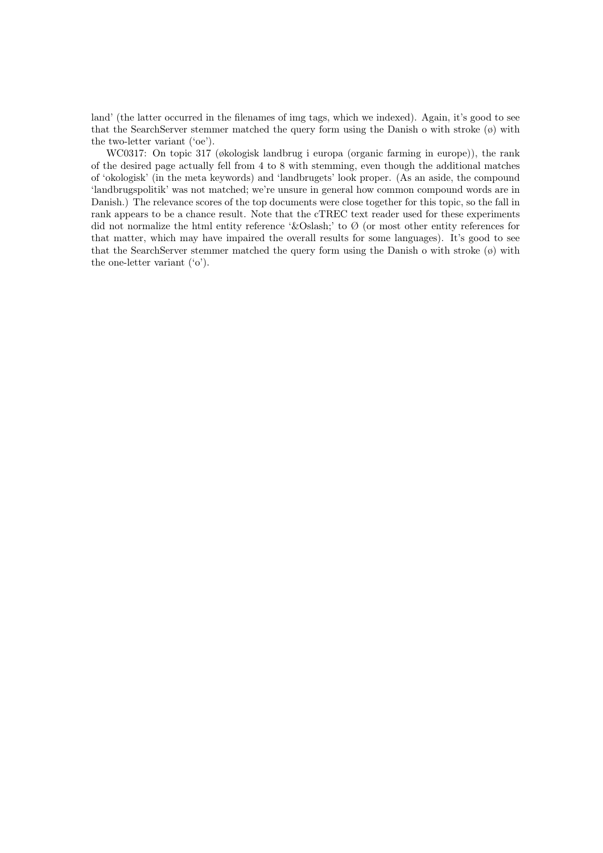land' (the latter occurred in the filenames of img tags, which we indexed). Again, it's good to see that the SearchServer stemmer matched the query form using the Danish o with stroke  $(\emptyset)$  with the two-letter variant ('oe').

WC0317: On topic 317 (økologisk landbrug i europa (organic farming in europe)), the rank of the desired page actually fell from 4 to 8 with stemming, even though the additional matches of 'okologisk' (in the meta keywords) and 'landbrugets' look proper. (As an aside, the compound 'landbrugspolitik' was not matched; we're unsure in general how common compound words are in Danish.) The relevance scores of the top documents were close together for this topic, so the fall in rank appears to be a chance result. Note that the cTREC text reader used for these experiments did not normalize the html entity reference 'Ø' to  $\emptyset$  (or most other entity references for that matter, which may have impaired the overall results for some languages). It's good to see that the SearchServer stemmer matched the query form using the Danish o with stroke  $(\emptyset)$  with the one-letter variant ('o').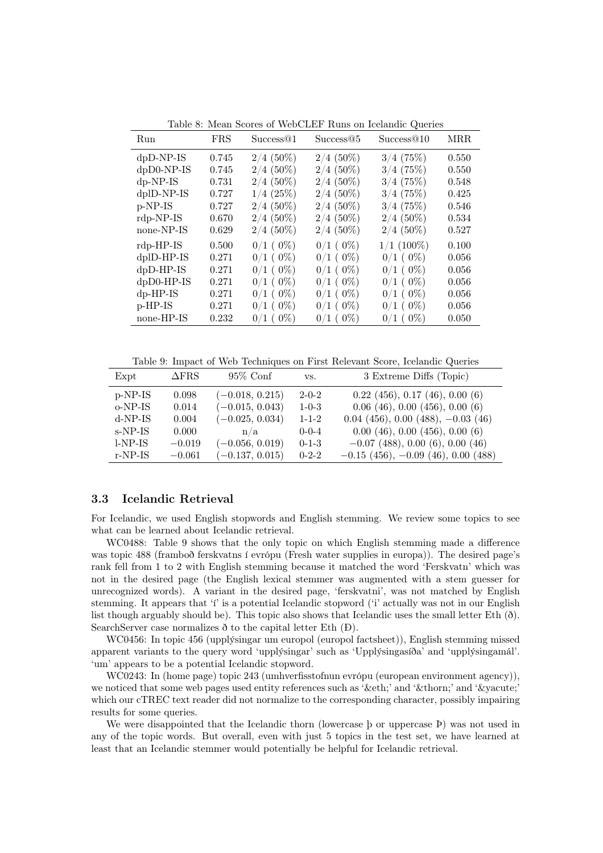| Run          | <b>FRS</b> | Success@1       | Success@5       | Success@10      | <b>MRR</b> |
|--------------|------------|-----------------|-----------------|-----------------|------------|
| $dpD-NP-IS$  | 0.745      | $2/4$ (50%)     | $2/4$ (50%)     | 3/4(75%)        | 0.550      |
| $dpD0-NP-IS$ | 0.745      | $2/4$ (50%)     | $2/4$ (50%)     | 3/4(75%)        | 0.550      |
| $dp-NP-IS$   | 0.731      | $2/4$ (50%)     | $2/4$ (50%)     | 3/4(75%)        | 0.548      |
| dplD-NP-IS   | 0.727      | $1/4$ (25%)     | $2/4$ (50%)     | 3/4(75%)        | 0.425      |
| p-NP-IS      | 0.727      | $2/4$ (50%)     | $2/4$ (50%)     | 3/4(75%)        | 0.546      |
| $rdp-NP-IS$  | 0.670      | $2/4$ (50%)     | $2/4$ (50%)     | $2/4$ (50%)     | 0.534      |
| none-NP-IS   | 0.629      | $2/4$ (50%)     | $2/4$ (50%)     | $2/4$ (50%)     | 0.527      |
| $rdp$ -HP-IS | 0.500      | $0/1$ ( $0\%$ ) | $0/1$ ( $0\%$ ) | $1/1~(100\%)$   | 0.100      |
| dplD-HP-IS   | 0.271      | $0/1$ ( $0\%$ ) | $0/1$ ( $0\%$ ) | $0/1$ ( $0\%$ ) | 0.056      |
| $dpD-HP-IS$  | 0.271      | $0/1$ ( $0\%$ ) | $0/1$ ( $0\%$ ) | $0/1$ ( $0\%$ ) | 0.056      |
| $dpD0-HP-IS$ | 0.271      | $0/1$ ( $0\%$ ) | $0/1$ ( $0\%$ ) | $0/1$ ( $0\%$ ) | 0.056      |
| $dp$ -HP-IS  | 0.271      | $0/1$ ( $0\%$ ) | $0/1$ ( $0\%$ ) | $0/1$ ( $0\%$ ) | 0.056      |
| $p$ -HP-IS   | 0.271      | $0/1$ ( $0\%$ ) | $0/1$ ( $0\%$ ) | $0/1$ ( $0\%$ ) | 0.056      |
| none-HP-IS   | 0.232      | $0/1$ ( $0\%$ ) | $0/1$ ( $0\%$ ) | $0/1$ ( $0\%$ ) | 0.050      |

Table 8: Mean Scores of WebCLEF Runs on Icelandic Queries

Table 9: Impact of Web Techniques on First Relevant Score, Icelandic Queries

| Expt      | $\Delta$ FRS | $95\%$ Conf       | VS.         | 3 Extreme Diffs (Topic)                 |
|-----------|--------------|-------------------|-------------|-----------------------------------------|
| p-NP-IS   | 0.098        | $(-0.018, 0.215)$ | $2-0-2$     | $0.22$ (456), 0.17 (46), 0.00 (6)       |
| $o-NP-IS$ | 0.014        | $(-0.015, 0.043)$ | $1 - 0 - 3$ | $0.06$ (46), $0.00$ (456), $0.00$ (6)   |
| $d-NP-IS$ | 0.004        | $(-0.025, 0.034)$ | $1 - 1 - 2$ | $0.04$ (456), 0.00 (488), $-0.03$ (46)  |
| s-NP-IS   | 0.000        | n/a               | $0 - 0 - 4$ | 0.00(46), 0.00(456), 0.00(6)            |
| $l-NP-IS$ | $-0.019$     | $(-0.056, 0.019)$ | $0-1-3$     | $-0.07$ (488), 0.00 (6), 0.00 (46)      |
| $r-NP-IS$ | $-0.061$     | $(-0.137, 0.015)$ | $0 - 2 - 2$ | $-0.15$ (456), $-0.09$ (46), 0.00 (488) |

#### 3.3 Icelandic Retrieval

For Icelandic, we used English stopwords and English stemming. We review some topics to see what can be learned about Icelandic retrieval.

WC0488: Table 9 shows that the only topic on which English stemming made a difference was topic 488 (framboð ferskvatns í evrópu (Fresh water supplies in europa)). The desired page's rank fell from 1 to 2 with English stemming because it matched the word 'Ferskvatn' which was not in the desired page (the English lexical stemmer was augmented with a stem guesser for unrecognized words). A variant in the desired page, 'ferskvatni', was not matched by English stemming. It appears that 'í' is a potential Icelandic stopword ('i' actually was not in our English list though arguably should be). This topic also shows that Icelandic uses the small letter Eth (ð). SearchServer case normalizes  $\delta$  to the capital letter Eth (D).

WC0456: In topic 456 (upplýsingar um europol (europol factsheet)), English stemming missed apparent variants to the query word 'upplýsingar' such as 'Upplýsingasíða' and 'upplýsingamál'. 'um' appears to be a potential Icelandic stopword.

WC0243: In (home page) topic 243 (umhverfisstofnun evrópu (european environment agency)), we noticed that some web pages used entity references such as 'ð' and 'þ' and '&vacute;' which our cTREC text reader did not normalize to the corresponding character, possibly impairing results for some queries.

We were disappointed that the Icelandic thorn (lowercase þ or uppercase Þ) was not used in any of the topic words. But overall, even with just 5 topics in the test set, we have learned at least that an Icelandic stemmer would potentially be helpful for Icelandic retrieval.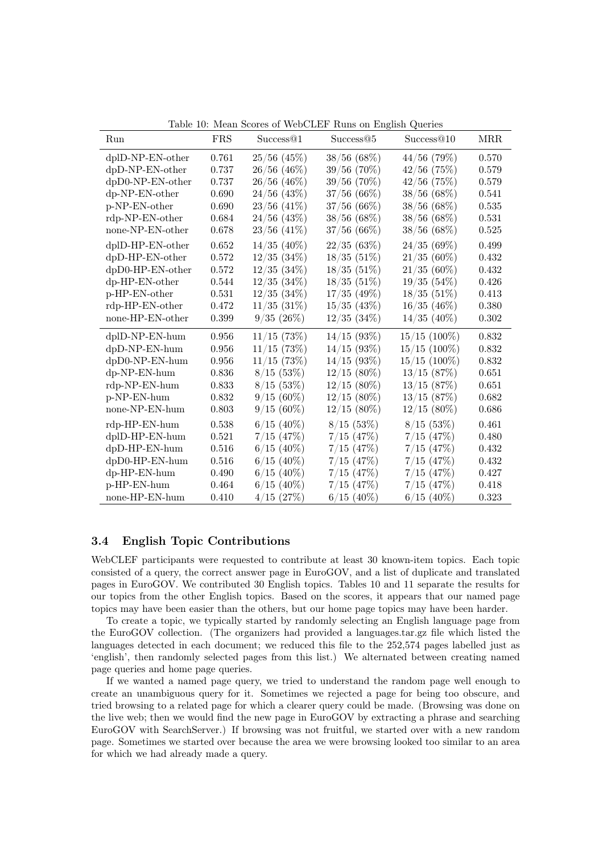| Run                 | <b>FRS</b> | Success@1        | Success <sup>@5</sup> | Success@10     | <b>MRR</b> |
|---------------------|------------|------------------|-----------------------|----------------|------------|
| $dp$ ID-NP-EN-other | 0.761      | $25/56$ (45%)    | 38/56(68%)            | $44/56$ (79%)  | 0.570      |
| $dpD-NP-EN-other$   | 0.737      | $26/56$ (46%)    | $39/56$ (70%)         | $42/56$ (75%)  | 0.579      |
| dpD0-NP-EN-other    | 0.737      | $26/56$ (46%)    | $39/56$ (70%)         | $42/56$ (75%)  | 0.579      |
| $dp-NP-EN-other$    | $0.690\,$  | $24/56$ (43\%)   | 37/56(66%)            | $38/56$ (68%)  | 0.541      |
| p-NP-EN-other       | 0.690      | $23/56$ (41\%)   | 37/56(66%)            | 38/56(68%)     | 0.535      |
| rdp-NP-EN-other     | 0.684      | $24/56$ (43\%)   | 38/56(68%)            | 38/56(68%)     | 0.531      |
| none-NP-EN-other    | 0.678      | $23/56$ (41\%)   | 37/56(66%)            | 38/56(68%)     | 0.525      |
| dplD-HP-EN-other    | 0.652      | $14/35$ (40%)    | 22/35(63%)            | 24/35(69%)     | 0.499      |
| $dpD$ -HP-EN-other  | 0.572      | $12/35$ $(34\%)$ | 18/35(51%)            | $21/35(60\%)$  | 0.432      |
| dpD0-HP-EN-other    | 0.572      | $12/35$ $(34\%)$ | $18/35$ (51%)         | $21/35(60\%)$  | 0.432      |
| dp-HP-EN-other      | 0.544      | $12/35$ $(34\%)$ | 18/35(51%)            | 19/35(54%)     | 0.426      |
| p-HP-EN-other       | 0.531      | $12/35$ $(34\%)$ | $17/35$ (49%)         | 18/35(51%)     | 0.413      |
| rdp-HP-EN-other     | 0.472      | $11/35$ $(31\%)$ | $15/35$ (43\%)        | $16/35$ (46\%) | 0.380      |
| none-HP-EN-other    | 0.399      | 9/35(26%)        | $12/35$ $(34\%)$      | $14/35$ (40%)  | 0.302      |
| dplD-NP-EN-hum      | 0.956      | $11/15$ (73\%)   | 14/15(93%)            | $15/15$ (100%) | 0.832      |
| $dpD-NP-EN-hum$     | 0.956      | $11/15$ (73\%)   | 14/15(93%)            | $15/15$ (100%) | 0.832      |
| dpD0-NP-EN-hum      | 0.956      | $11/15$ (73%)    | $14/15$ (93%)         | $15/15$ (100%) | 0.832      |
| dp-NP-EN-hum        | 0.836      | 8/15(53%)        | $12/15(80\%)$         | $13/15$ (87%)  | 0.651      |
| rdp-NP-EN-hum       | 0.833      | 8/15(53%)        | $12/15(80\%)$         | 13/15(87%)     | 0.651      |
| p-NP-EN-hum         | 0.832      | $9/15(60\%)$     | $12/15$ (80%)         | $13/15$ (87%)  | 0.682      |
| none-NP-EN-hum      | 0.803      | $9/15(60\%)$     | $12/15(80\%)$         | $12/15(80\%)$  | 0.686      |
| rdp-HP-EN-hum       | 0.538      | $6/15$ (40%)     | 8/15(53%)             | 8/15(53%)      | 0.461      |
| dplD-HP-EN-hum      | 0.521      | $7/15$ (47%)     | $7/15$ $(47%)$        | $7/15$ $(47%)$ | 0.480      |
| dpD-HP-EN-hum       | 0.516      | $6/15$ (40%)     | $7/15$ (47%)          | $7/15$ (47\%)  | 0.432      |
| dpD0-HP-EN-hum      | 0.516      | $6/15$ (40%)     | $7/15$ $(47%)$        | $7/15$ $(47%)$ | 0.432      |
| dp-HP-EN-hum        | 0.490      | $6/15$ (40%)     | $7/15$ $(47%)$        | $7/15$ $(47%)$ | 0.427      |
| p-HP-EN-hum         | 0.464      | $6/15$ (40%)     | $7/15$ $(47%)$        | $7/15$ (47\%)  | 0.418      |
| none-HP-EN-hum      | 0.410      | 4/15(27%)        | $6/15$ (40%)          | $6/15$ (40%)   | 0.323      |

Table 10: Mean Scores of WebCLEF Runs on English Queries

### 3.4 English Topic Contributions

WebCLEF participants were requested to contribute at least 30 known-item topics. Each topic consisted of a query, the correct answer page in EuroGOV, and a list of duplicate and translated pages in EuroGOV. We contributed 30 English topics. Tables 10 and 11 separate the results for our topics from the other English topics. Based on the scores, it appears that our named page topics may have been easier than the others, but our home page topics may have been harder.

To create a topic, we typically started by randomly selecting an English language page from the EuroGOV collection. (The organizers had provided a languages.tar.gz file which listed the languages detected in each document; we reduced this file to the 252,574 pages labelled just as 'english', then randomly selected pages from this list.) We alternated between creating named page queries and home page queries.

If we wanted a named page query, we tried to understand the random page well enough to create an unambiguous query for it. Sometimes we rejected a page for being too obscure, and tried browsing to a related page for which a clearer query could be made. (Browsing was done on the live web; then we would find the new page in EuroGOV by extracting a phrase and searching EuroGOV with SearchServer.) If browsing was not fruitful, we started over with a new random page. Sometimes we started over because the area we were browsing looked too similar to an area for which we had already made a query.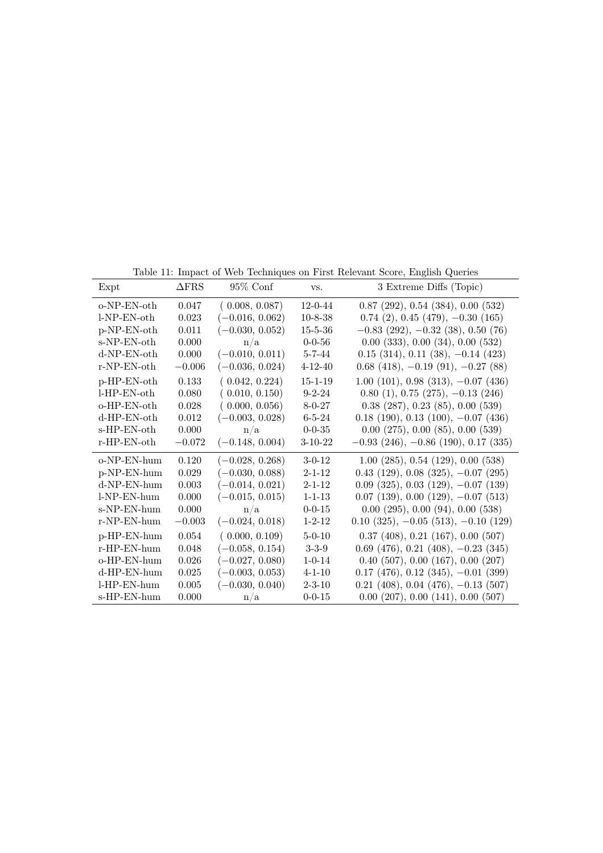Table 11: Impact of Web Techniques on First Relevant Score, English Queries

| Expt              | $\Delta$ FRS | $95\%$ Conf       | VS.           | 3 Extreme Diffs (Topic)                            |
|-------------------|--------------|-------------------|---------------|----------------------------------------------------|
| $o-NP-EN-oth$     | 0.047        | (0.008, 0.087)    | $12 - 0 - 44$ | $0.87$ (292), $0.54$ (384), $0.00$ (532)           |
| $l-NP-EN-oth$     | 0.023        | $(-0.016, 0.062)$ | $10 - 8 - 38$ | $0.74$ (2), $0.45$ (479), $-0.30$ (165)            |
| $p-NP-EN-oth$     | 0.011        | $(-0.030, 0.052)$ | $15 - 5 - 36$ | $-0.83$ (292), $-0.32$ (38), 0.50 (76)             |
| s-NP-EN-oth       | 0.000        | n/a               | $0 - 0 - 56$  | 0.00(333), 0.00(34), 0.00(532)                     |
| $d-NP-EN-oth$     | 0.000        | $(-0.010, 0.011)$ | $5 - 7 - 44$  | $0.15$ (314), 0.11 (38), $-0.14$ (423)             |
| r-NP-EN-oth       | $-0.006$     | $(-0.036, 0.024)$ | $4 - 12 - 40$ | $0.68$ (418), $-0.19$ (91), $-0.27$ (88)           |
| p-HP-EN-oth       | 0.133        | (0.042, 0.224)    | $15 - 1 - 19$ | $1.00$ (101), 0.98 (313), $-0.07$ (436)            |
| $l$ -HP-EN-oth    | 0.080        | (0.010, 0.150)    | $9 - 2 - 24$  | $0.80(1), 0.75(275), -0.13(246)$                   |
| o-HP-EN-oth       | 0.028        | (0.000, 0.056)    | $8 - 0 - 27$  | $0.38$ (287), $0.23$ (85), $0.00$ (539)            |
| $d$ -HP-EN-oth    | 0.012        | $(-0.003, 0.028)$ | $6 - 5 - 24$  | $0.18$ (190), $0.13$ (100), $-0.07$ (436)          |
| s-HP-EN-oth       | 0.000        | n/a               | $0 - 0 - 35$  | $0.00$ $(275)$ , $0.00$ $(85)$ , $0.00$ $(539)$    |
| $r$ -HP-EN-oth    | $-0.072$     | $(-0.148, 0.004)$ | $3-10-22$     | $-0.93$ (246), $-0.86$ (190), 0.17 (335)           |
| $o-NP-EN-hum$     | 0.120        | $(-0.028, 0.268)$ | $3-0-12$      | $1.00$ (285), 0.54 (129), 0.00 (538)               |
| p-NP-EN-hum       | 0.029        | $(-0.030, 0.088)$ | $2 - 1 - 12$  | $0.43$ (129), $0.08$ (325), $-0.07$ (295)          |
| d-NP-EN-hum       | 0.003        | $(-0.014, 0.021)$ | $2 - 1 - 12$  | $0.09$ (325), $0.03$ (129), $-0.07$ (139)          |
| l-NP-EN-hum       | 0.000        | $(-0.015, 0.015)$ | $1 - 1 - 13$  | $0.07$ (139), $0.00$ (129), $-0.07$ (513)          |
| s-NP-EN-hum       | 0.000        | n/a               | $0 - 0 - 15$  | 0.00(295), 0.00(94), 0.00(538)                     |
| r-NP-EN-hum       | $-0.003$     | $(-0.024, 0.018)$ | $1 - 2 - 12$  | $0.10$ $(325)$ , $-0.05$ $(513)$ , $-0.10$ $(129)$ |
| p-HP-EN-hum       | 0.054        | (0.000, 0.109)    | $5-0-10$      | $0.37$ (408), $0.21$ (167), $0.00$ (507)           |
| r-HP-EN-hum       | 0.048        | $(-0.058, 0.154)$ | $3 - 3 - 9$   | $0.69$ (476), $0.21$ (408), $-0.23$ (345)          |
| $o$ -HP-EN- $hum$ | 0.026        | $(-0.027, 0.080)$ | $1 - 0 - 14$  | $0.40$ (507), $0.00$ (167), $0.00$ (207)           |
| d-HP-EN-hum       | 0.025        | $(-0.003, 0.053)$ | $4 - 1 - 10$  | $0.17$ (476), $0.12$ (345), $-0.01$ (399)          |
| l-HP-EN-hum       | 0.005        | $(-0.030, 0.040)$ | $2 - 3 - 10$  | $0.21$ (408), $0.04$ (476), $-0.13$ (507)          |
| s-HP-EN-hum       | 0.000        | n/a               | $0 - 0 - 15$  | $0.00$ $(207)$ , $0.00$ $(141)$ , $0.00$ $(507)$   |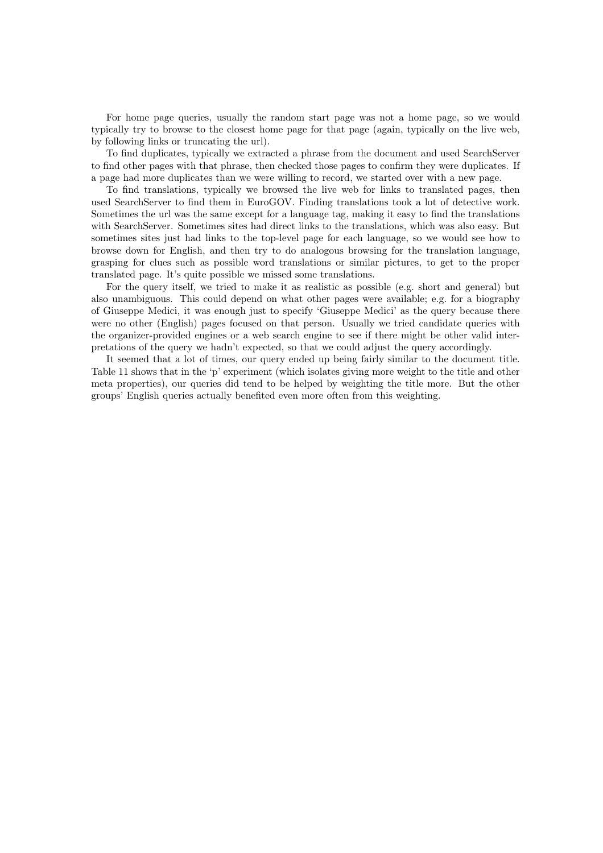For home page queries, usually the random start page was not a home page, so we would typically try to browse to the closest home page for that page (again, typically on the live web, by following links or truncating the url).

To find duplicates, typically we extracted a phrase from the document and used SearchServer to find other pages with that phrase, then checked those pages to confirm they were duplicates. If a page had more duplicates than we were willing to record, we started over with a new page.

To find translations, typically we browsed the live web for links to translated pages, then used SearchServer to find them in EuroGOV. Finding translations took a lot of detective work. Sometimes the url was the same except for a language tag, making it easy to find the translations with SearchServer. Sometimes sites had direct links to the translations, which was also easy. But sometimes sites just had links to the top-level page for each language, so we would see how to browse down for English, and then try to do analogous browsing for the translation language, grasping for clues such as possible word translations or similar pictures, to get to the proper translated page. It's quite possible we missed some translations.

For the query itself, we tried to make it as realistic as possible (e.g. short and general) but also unambiguous. This could depend on what other pages were available; e.g. for a biography of Giuseppe Medici, it was enough just to specify 'Giuseppe Medici' as the query because there were no other (English) pages focused on that person. Usually we tried candidate queries with the organizer-provided engines or a web search engine to see if there might be other valid interpretations of the query we hadn't expected, so that we could adjust the query accordingly.

It seemed that a lot of times, our query ended up being fairly similar to the document title. Table 11 shows that in the 'p' experiment (which isolates giving more weight to the title and other meta properties), our queries did tend to be helped by weighting the title more. But the other groups' English queries actually benefited even more often from this weighting.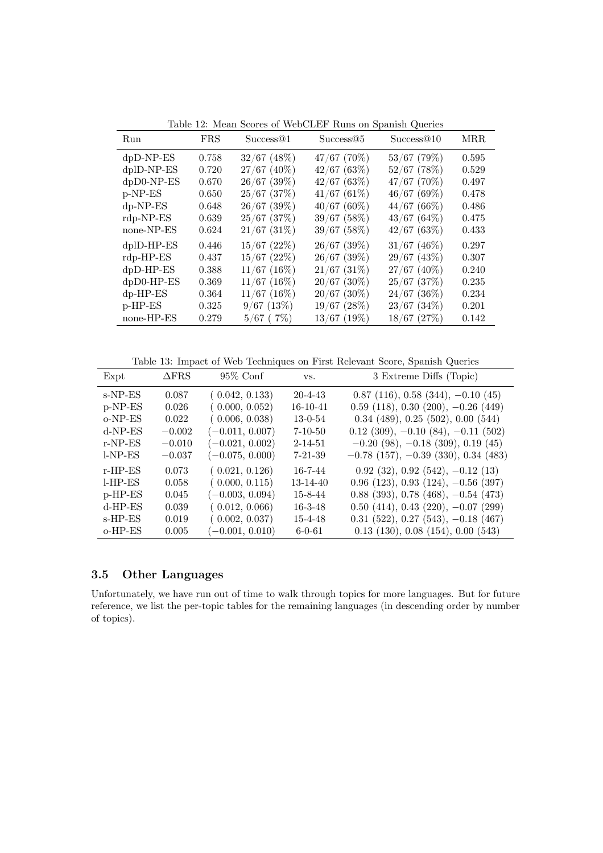| Run          | <b>FRS</b> | Success@1        | Success@5        | Success@10       | <b>MRR</b> |
|--------------|------------|------------------|------------------|------------------|------------|
| $dpD-NP-ES$  | 0.758      | $32/67$ (48\%)   | $47/67$ (70%)    | $53/67$ (79%)    | 0.595      |
| dplD-NP-ES   | 0.720      | $27/67$ (40%)    | $42/67$ (63%)    | $52/67$ (78%)    | 0.529      |
| dpD0-NP-ES   | 0.670      | $26/67$ (39%)    | 42/67(63%)       | $47/67$ (70%)    | 0.497      |
| p-NP-ES      | 0.650      | $25/67$ $(37%)$  | 41/67(61%)       | 46/67(69%)       | 0.478      |
| $dp-NP-ES$   | 0.648      | $26/67$ (39%)    | $40/67(60\%)$    | 44/67(66%)       | 0.486      |
| $rdp-NP-ES$  | 0.639      | $25/67$ $(37%)$  | $39/67$ (58%)    | 43/67(64%)       | 0.475      |
| none-NP-ES   | 0.624      | $21/67$ $(31\%)$ | $39/67$ (58%)    | 42/67(63%)       | 0.433      |
| dplD-HP-ES   | 0.446      | $15/67$ $(22\%)$ | $26/67$ (39%)    | $31/67$ (46%)    | 0.297      |
| $rdp$ -HP-ES | 0.437      | $15/67$ $(22\%)$ | $26/67$ (39%)    | $29/67$ (43%)    | 0.307      |
| $dpD$ -HP-ES | 0.388      | $11/67$ (16%)    | $21/67$ (31\%)   | $27/67$ (40%)    | 0.240      |
| $dpD0-HP-ES$ | 0.369      | $11/67$ (16%)    | $20/67$ (30%)    | $25/67$ $(37%)$  | 0.235      |
| $dp$ -HP-ES  | 0.364      | $11/67$ (16%)    | $20/67$ (30%)    | $24/67$ (36%)    | 0.234      |
| $p$ -HP-ES   | 0.325      | $9/67$ (13%)     | $19/67$ $(28\%)$ | $23/67$ $(34\%)$ | 0.201      |
| none-HP-ES   | 0.279      | $5/67$ (7\%)     | $13/67$ (19%)    | $18/67$ $(27%)$  | 0.142      |

Table 12: Mean Scores of WebCLEF Runs on Spanish Queries

Table 13: Impact of Web Techniques on First Relevant Score, Spanish Queries

| Expt       | $\triangle$ FRS | $95\%$ Conf       | VS.           | 3 Extreme Diffs (Topic)                   |
|------------|-----------------|-------------------|---------------|-------------------------------------------|
| s-NP-ES    | 0.087           | (0.042, 0.133)    | $20 - 4 - 43$ | $0.87$ (116), $0.58$ (344), $-0.10$ (45)  |
| $p-NP-ES$  | 0.026           | (0.000, 0.052)    | 16-10-41      | $0.59$ (118), $0.30$ (200), $-0.26$ (449) |
| $o-NP-ES$  | 0.022           | (0.006, 0.038)    | $13 - 0 - 54$ | $0.34$ (489), $0.25$ (502), $0.00$ (544)  |
| $d-NP-ES$  | $-0.002$        | $(-0.011, 0.007)$ | $7 - 10 - 50$ | $0.12$ (309), $-0.10$ (84), $-0.11$ (502) |
| $r-NP-ES$  | $-0.010$        | $(-0.021, 0.002)$ | $2 - 14 - 51$ | $-0.20$ (98), $-0.18$ (309), 0.19 (45)    |
| $l-NP-ES$  | $-0.037$        | $(-0.075, 0.000)$ | $7 - 21 - 39$ | $-0.78$ (157), $-0.39$ (330), 0.34 (483)  |
| $r$ -HP-ES | 0.073           | (0.021, 0.126)    | $16 - 7 - 44$ | $0.92$ (32), $0.92$ (542), $-0.12$ (13)   |
| $LHP-ES$   | 0.058           | (0.000, 0.115)    | 13-14-40      | $0.96$ (123), $0.93$ (124), $-0.56$ (397) |
| $p$ -HP-ES | 0.045           | $(-0.003, 0.094)$ | $15 - 8 - 44$ | $0.88$ (393), 0.78 (468), $-0.54$ (473)   |
| $d$ -HP-ES | 0.039           | (0.012, 0.066)    | $16 - 3 - 48$ | $0.50$ (414), $0.43$ (220), $-0.07$ (299) |
| $s$ -HP-ES | 0.019           | (0.002, 0.037)    | 15-4-48       | $0.31$ (522), 0.27 (543), $-0.18$ (467)   |
| $o$ -HP-ES | 0.005           | $(-0.001, 0.010)$ | $6 - 0 - 61$  | $0.13$ (130), $0.08$ (154), $0.00$ (543)  |

## 3.5 Other Languages

Unfortunately, we have run out of time to walk through topics for more languages. But for future reference, we list the per-topic tables for the remaining languages (in descending order by number of topics).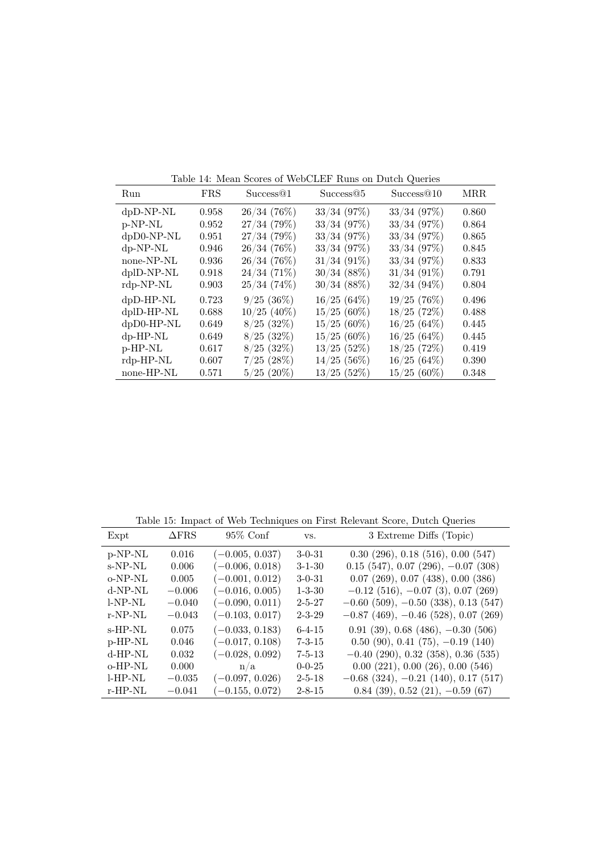|               | Table 14. Medii bedies of WebCliff Trans on Daten Querics |               |                |                |            |  |
|---------------|-----------------------------------------------------------|---------------|----------------|----------------|------------|--|
| Run           | <b>FRS</b>                                                | Success@1     | Success@5      | Success@10     | <b>MRR</b> |  |
| $dpD-NP-NL$   | 0.958                                                     | 26/34(76%)    | $33/34$ (97%)  | $33/34$ (97%)  | 0.860      |  |
| p-NP-NL       | 0.952                                                     | 27/34(79%)    | $33/34$ (97\%) | $33/34$ (97\%) | 0.864      |  |
| dpD0-NP-NL    | 0.951                                                     | 27/34(79%)    | $33/34$ (97\%) | $33/34$ (97\%) | 0.865      |  |
| $dp-NP-NL$    | 0.946                                                     | 26/34(76%)    | $33/34$ (97\%) | $33/34$ (97\%) | 0.845      |  |
| none-NP-NL    | 0.936                                                     | 26/34(76%)    | $31/34$ (91\%) | $33/34$ (97\%) | 0.833      |  |
| dplD-NP-NL    | 0.918                                                     | 24/34(71%)    | $30/34$ (88%)  | $31/34$ (91\%) | 0.791      |  |
| $rdp-NP-NL$   | 0.903                                                     | 25/34(74%)    | $30/34~(88\%)$ | $32/34(94\%)$  | 0.804      |  |
| $dpD-HP-NL$   | 0.723                                                     | $9/25(36\%)$  | 16/25(64%)     | 19/25(76%)     | 0.496      |  |
| $d$ plD-HP-NL | 0.688                                                     | $10/25$ (40%) | $15/25(60\%)$  | $18/25$ (72%)  | 0.488      |  |
| $dpD0-HP-NL$  | 0.649                                                     | $8/25$ (32\%) | $15/25(60\%)$  | 16/25(64%)     | 0.445      |  |
| $dp$ -HP-NL   | 0.649                                                     | $8/25$ (32%)  | $15/25(60\%)$  | 16/25(64%)     | 0.445      |  |
| p-HP-NL       | 0.617                                                     | $8/25$ (32\%) | $13/25$ (52%)  | 18/25(72%)     | 0.419      |  |
| $rdp-HP-NL$   | 0.607                                                     | $7/25$ (28%)  | $14/25$ (56%)  | 16/25(64%)     | 0.390      |  |
| none-HP-NL    | 0.571                                                     | $5/25(20\%)$  | $13/25$ (52%)  | $15/25(60\%)$  | 0.348      |  |

Table 14: Mean Scores of WebCLEF Runs on Dutch Queries

Table 15: Impact of Web Techniques on First Relevant Score, Dutch Queries

|            | Table 15: Impact of Web Techniques on First Relevant Score, Dutch Queries |                   |              |                                          |  |  |  |  |
|------------|---------------------------------------------------------------------------|-------------------|--------------|------------------------------------------|--|--|--|--|
| Expt       | $\Delta$ FRS                                                              | $95\%$ Conf       | VS.          | 3 Extreme Diffs (Topic)                  |  |  |  |  |
| p-NP-NL    | 0.016                                                                     | $(-0.005, 0.037)$ | $3 - 0 - 31$ | $0.30$ (296), $0.18$ (516), $0.00$ (547) |  |  |  |  |
| $s-NP-NL$  | 0.006                                                                     | $-0.006, 0.018$   | $3 - 1 - 30$ | $0.15$ (547), 0.07 (296), $-0.07$ (308)  |  |  |  |  |
| $o-NP-NL$  | 0.005                                                                     | $(-0.001, 0.012)$ | $3 - 0 - 31$ | $0.07$ (269), $0.07$ (438), $0.00$ (386) |  |  |  |  |
| $d-NP-NL$  | $-0.006$                                                                  | $(-0.016, 0.005)$ | $1 - 3 - 30$ | $-0.12$ (516), $-0.07$ (3), 0.07 (269)   |  |  |  |  |
| $l-NP-NL$  | $-0.040$                                                                  | $(-0.090, 0.011)$ | $2 - 5 - 27$ | $-0.60$ (509), $-0.50$ (338), 0.13 (547) |  |  |  |  |
| $r-NP-NL$  | $-0.043$                                                                  | $(-0.103, 0.017)$ | $2 - 3 - 29$ | $-0.87$ (469), $-0.46$ (528), 0.07 (269) |  |  |  |  |
| s-HP-NL    | 0.075                                                                     | $(-0.033, 0.183)$ | $6 - 4 - 15$ | $0.91$ (39), $0.68$ (486), $-0.30$ (506) |  |  |  |  |
| $p$ -HP-NL | 0.046                                                                     | $(-0.017, 0.108)$ | $7 - 3 - 15$ | $0.50(90), 0.41(75), -0.19(140)$         |  |  |  |  |
| d-HP-NL    | 0.032                                                                     | $(-0.028, 0.092)$ | $7 - 5 - 13$ | $-0.40$ (290), 0.32 (358), 0.36 (535)    |  |  |  |  |
| $o$ -HP-NL | 0.000                                                                     | n/a               | $0 - 0 - 25$ | 0.00(221), 0.00(26), 0.00(546)           |  |  |  |  |
| $l$ -HP-NL | $-0.035$                                                                  | $(-0.097, 0.026)$ | $2 - 5 - 18$ | $-0.68$ (324), $-0.21$ (140), 0.17 (517) |  |  |  |  |
| $r$ -HP-NL | $-0.041$                                                                  | $(-0.155, 0.072)$ | $2 - 8 - 15$ | $0.84$ (39), $0.52$ (21), $-0.59$ (67)   |  |  |  |  |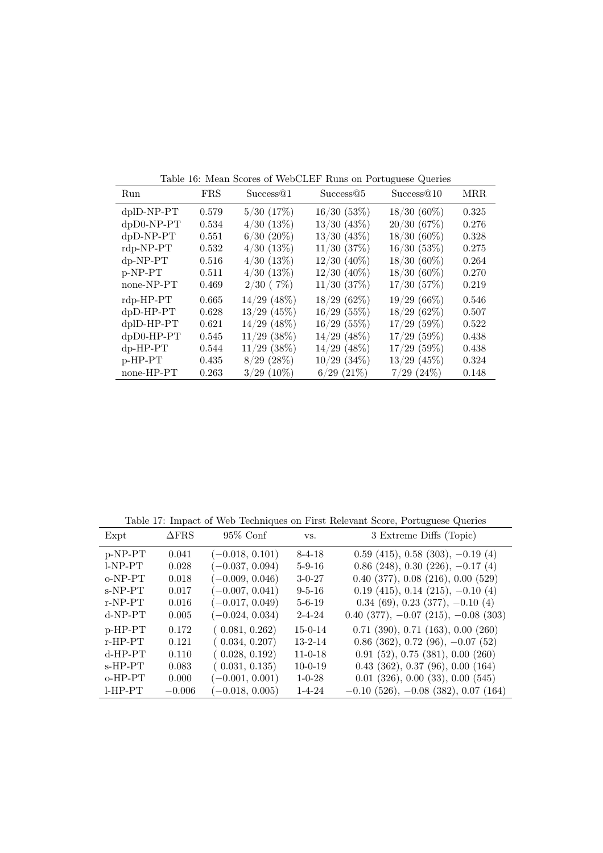|               | Table 10: Mean Scores of WebCLEr Runs on Portuguese Queries |                       |                  |                 |            |  |  |
|---------------|-------------------------------------------------------------|-----------------------|------------------|-----------------|------------|--|--|
| Run           | <b>FRS</b>                                                  | Success <sup>@1</sup> | Success@5        | Success@10      | <b>MRR</b> |  |  |
| $dp$ ID-NP-PT | 0.579                                                       | $5/30$ $(17%)$        | 16/30(53%)       | $18/30(60\%)$   | 0.325      |  |  |
| dpD0-NP-PT    | 0.534                                                       | $4/30$ $(13%)$        | $13/30$ $(43\%)$ | 20/30(67%)      | 0.276      |  |  |
| $dpD-NP-PT$   | 0.551                                                       | $6/30$ $(20\%)$       | $13/30$ $(43\%)$ | $18/30(60\%)$   | 0.328      |  |  |
| $rdp-NP-PT$   | 0.532                                                       | 4/30(13%)             | $11/30$ $(37%)$  | 16/30(53%)      | 0.275      |  |  |
| $dp-NP-PT$    | 0.516                                                       | 4/30(13%)             | $12/30$ (40%)    | $18/30(60\%)$   | 0.264      |  |  |
| $p-NP-PT$     | 0.511                                                       | 4/30(13%)             | $12/30$ $(40\%)$ | $18/30(60\%)$   | 0.270      |  |  |
| none-NP-PT    | 0.469                                                       | $2/30$ (7%)           | $11/30$ $(37%)$  | 17/30(57%)      | 0.219      |  |  |
| $rdp$ -HP-PT  | 0.665                                                       | $14/29$ (48%)         | 18/29(62%)       | $19/29(66\%)$   | 0.546      |  |  |
| dpD-HP-PT     | 0.628                                                       | $13/29$ (45%)         | $16/29$ (55%)    | 18/29(62%)      | 0.507      |  |  |
| dplD-HP-PT    | 0.621                                                       | $14/29$ (48%)         | $16/29$ (55%)    | $17/29$ (59%)   | 0.522      |  |  |
| dpD0-HP-PT    | 0.545                                                       | $11/29$ (38%)         | $14/29$ (48%)    | $17/29$ (59%)   | 0.438      |  |  |
| $dp$ -HP-PT   | 0.544                                                       | $11/29$ (38%)         | $14/29$ (48%)    | $17/29$ (59%)   | 0.438      |  |  |
| $p$ -HP-PT    | 0.435                                                       | $8/29$ (28%)          | $10/29$ $(34\%)$ | $13/29$ (45%)   | 0.324      |  |  |
| none-HP-PT    | 0.263                                                       | $3/29$ (10%)          | $6/29$ $(21\%)$  | $7/29$ $(24\%)$ | 0.148      |  |  |

Table 16: Mean Scores of WebCLEF Runs on Portuguese Queries

Table 17: Impact of Web Techniques on First Relevant Score, Portuguese Queries

| Expt       | $\Delta$ FRS | $95\%$ Conf       | VS.           | 3 Extreme Diffs (Topic)                          |
|------------|--------------|-------------------|---------------|--------------------------------------------------|
| $p-NP-PT$  | 0.041        | $(-0.018, 0.101)$ | $8 - 4 - 18$  | $0.59$ (415), 0.58 (303), $-0.19$ (4)            |
| $I-NP-PT$  | 0.028        | $(-0.037, 0.094)$ | $5 - 9 - 16$  | $0.86$ (248), 0.30 (226), $-0.17$ (4)            |
| $o-NP-PT$  | 0.018        | $(-0.009, 0.046)$ | $3 - 0 - 27$  | $0.40$ (377), $0.08$ (216), $0.00$ (529)         |
| $s-NP-PT$  | 0.017        | $(-0.007, 0.041)$ | $9 - 5 - 16$  | $0.19$ (415), 0.14 (215), $-0.10$ (4)            |
| $r-NP-PT$  | 0.016        | $(-0.017, 0.049)$ | $5 - 6 - 19$  | $0.34(69), 0.23(377), -0.10(4)$                  |
| $d-NP-PT$  | 0.005        | $(-0.024, 0.034)$ | $2 - 4 - 24$  | $0.40$ (377), $-0.07$ (215), $-0.08$ (303)       |
| $p$ -HP-PT | 0.172        | (0.081, 0.262)    | $15 - 0 - 14$ | $0.71$ $(390)$ , $0.71$ $(163)$ , $0.00$ $(260)$ |
| $r$ -HP-PT | 0.121        | (0.034, 0.207)    | $13 - 2 - 14$ | $0.86$ (362), 0.72 (96), $-0.07$ (52)            |
| $d$ -HP-PT | 0.110        | (0.028, 0.192)    | $11 - 0 - 18$ | 0.91(52), 0.75(381), 0.00(260)                   |
| $s$ -HP-PT | 0.083        | (0.031, 0.135)    | $10 - 0 - 19$ | $0.43$ (362), 0.37 (96), 0.00 (164)              |
| $o$ -HP-PT | 0.000        | $(-0.001, 0.001)$ | $1 - 0 - 28$  | $0.01$ $(326)$ , $0.00$ $(33)$ , $0.00$ $(545)$  |
| $LHP-PT$   | $-0.006$     | $-0.018, 0.005$   | $1 - 4 - 24$  | $-0.10$ (526), $-0.08$ (382), 0.07 (164)         |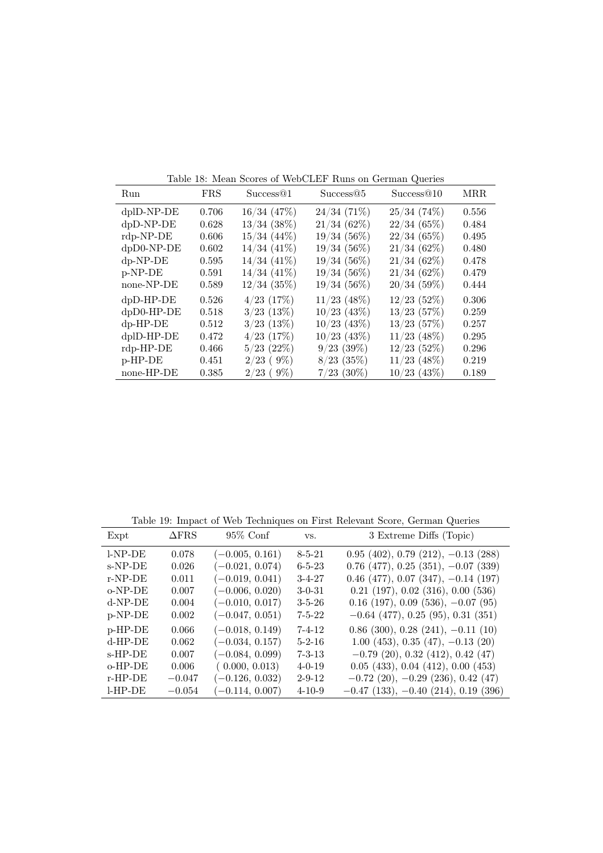|                 | Table 18. Mean Scores of WebCLEF Runs on German Queries |                  |                |               |            |  |
|-----------------|---------------------------------------------------------|------------------|----------------|---------------|------------|--|
| Run             | <b>FRS</b>                                              | Success@1        | Success@5      | Success@10    | <b>MRR</b> |  |
| $dp$ ID-NP-DE   | 0.706                                                   | $16/34$ $(47%)$  | 24/34(71%)     | 25/34(74%)    | 0.556      |  |
| $dpD-NP-DE$     | 0.628                                                   | $13/34$ (38%)    | 21/34(62%)     | 22/34(65%)    | 0.484      |  |
| $rdp-NP-DE$     | 0.606                                                   | $15/34$ (44\%)   | $19/34(56\%)$  | 22/34(65%)    | 0.495      |  |
| $dpD0-NP-DE$    | 0.602                                                   | $14/34$ $(41\%)$ | $19/34(56\%)$  | 21/34(62%)    | 0.480      |  |
| $dp-NP-DE$      | 0.595                                                   | $14/34$ $(41\%)$ | $19/34(56\%)$  | 21/34(62%)    | 0.478      |  |
| p-NP-DE         | 0.591                                                   | $14/34$ $(41\%)$ | $19/34(56\%)$  | 21/34(62%)    | 0.479      |  |
| none-NP-DE      | 0.589                                                   | $12/34$ (35%)    | $19/34(56\%)$  | 20/34(59%)    | 0.444      |  |
| $dpD$ -HP- $DE$ | 0.526                                                   | $4/23$ (17\%)    | $11/23$ (48%)  | $12/23$ (52%) | 0.306      |  |
| $dpD0-HP-DE$    | 0.518                                                   | $3/23$ (13%)     | $10/23$ (43%)  | $13/23$ (57%) | 0.259      |  |
| $dp$ -HP-DE     | 0.512                                                   | $3/23$ $(13%)$   | $10/23$ (43\%) | $13/23$ (57%) | 0.257      |  |
| $d$ plD-HP-DE   | 0.472                                                   | $4/23$ (17\%)    | $10/23$ (43\%) | $11/23$ (48%) | 0.295      |  |
| $rdp$ -HP-DE    | 0.466                                                   | $5/23$ (22%)     | $9/23$ (39%)   | $12/23$ (52%) | 0.296      |  |
| p-HP-DE         | 0.451                                                   | $2/23$ (9%)      | $8/23$ (35%)   | $11/23$ (48%) | 0.219      |  |
| none-HP-DE      | 0.385                                                   | $2/23$ (9%)      | $7/23$ (30%)   | $10/23$ (43%) | 0.189      |  |

Table 18: Mean Scores of WebCLEF Runs on German Queries

Table 19: Impact of Web Techniques on First Relevant Score, German Queries

|            | Table 19: Impact of Web Techniques on First Relevant Score, German Queries |                   |              |                                           |  |  |  |  |
|------------|----------------------------------------------------------------------------|-------------------|--------------|-------------------------------------------|--|--|--|--|
| Expt       | $\Delta$ FRS                                                               | $95\%$ Conf       | VS.          | 3 Extreme Diffs (Topic)                   |  |  |  |  |
| $l-NP-DE$  | 0.078                                                                      | $(-0.005, 0.161)$ | $8 - 5 - 21$ | $0.95$ (402), 0.79 (212), $-0.13$ (288)   |  |  |  |  |
| $s-NP-DE$  | 0.026                                                                      | $(-0.021, 0.074)$ | $6 - 5 - 23$ | $0.76$ (477), $0.25$ (351), $-0.07$ (339) |  |  |  |  |
| $r-NP-DE$  | 0.011                                                                      | $(-0.019, 0.041)$ | $3-4-27$     | $0.46$ (477), $0.07$ (347), $-0.14$ (197) |  |  |  |  |
| $o-NP-DE$  | 0.007                                                                      | $(-0.006, 0.020)$ | $3 - 0 - 31$ | $0.21$ (197), $0.02$ (316), $0.00$ (536)  |  |  |  |  |
| $d-NP-DE$  | 0.004                                                                      | $(-0.010, 0.017)$ | $3 - 5 - 26$ | $0.16$ (197), $0.09$ (536), $-0.07$ (95)  |  |  |  |  |
| p-NP-DE    | 0.002                                                                      | $(-0.047, 0.051)$ | $7 - 5 - 22$ | $-0.64$ (477), 0.25 (95), 0.31 (351)      |  |  |  |  |
| $p$ -HP-DE | 0.066                                                                      | $(-0.018, 0.149)$ | $7 - 4 - 12$ | $0.86$ (300), $0.28$ (241), $-0.11$ (10)  |  |  |  |  |
| $d$ -HP-DE | 0.062                                                                      | $(-0.034, 0.157)$ | $5 - 2 - 16$ | $1.00(453), 0.35(47), -0.13(20)$          |  |  |  |  |
| $s$ -HP-DE | 0.007                                                                      | $(-0.084, 0.099)$ | $7 - 3 - 13$ | $-0.79$ (20), 0.32 (412), 0.42 (47)       |  |  |  |  |
| $o$ -HP-DE | 0.006                                                                      | (0.000, 0.013)    | $4 - 0 - 19$ | $0.05$ (433), $0.04$ (412), $0.00$ (453)  |  |  |  |  |
| $r$ -HP-DE | $-0.047$                                                                   | $(-0.126, 0.032)$ | $2 - 9 - 12$ | $-0.72$ (20), $-0.29$ (236), 0.42 (47)    |  |  |  |  |
| $LHP-DE$   | $-0.054$                                                                   | $-0.114, 0.007$   | $4 - 10 - 9$ | $-0.47$ (133), $-0.40$ (214), 0.19 (396)  |  |  |  |  |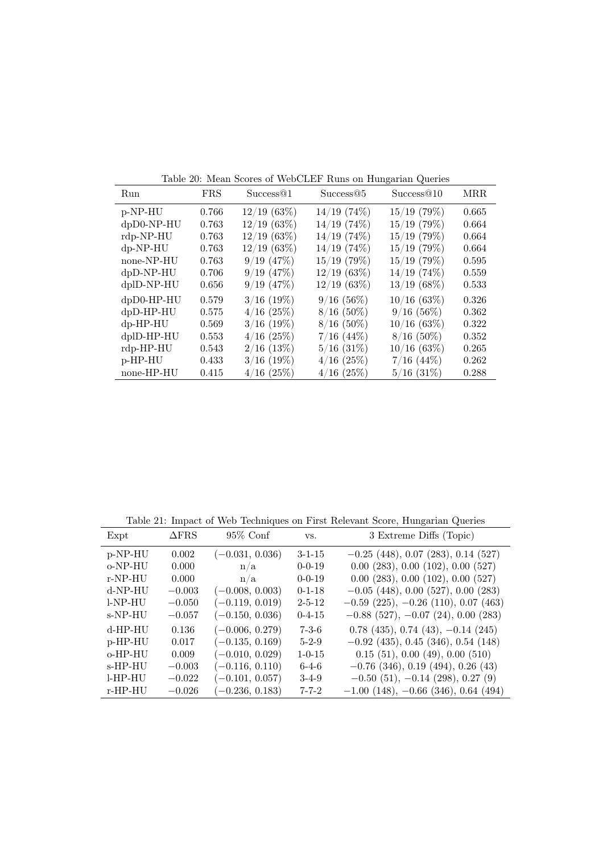|               | Table 20. Mean bedres of WebCliff Tunis on Hungahan Queries |                |                 |                |            |  |
|---------------|-------------------------------------------------------------|----------------|-----------------|----------------|------------|--|
| Run           | <b>FRS</b>                                                  | Success@1      | Success@5       | Success@10     | <b>MRR</b> |  |
| p-NP-HU       | 0.766                                                       | 12/19(63%)     | $14/19$ (74\%)  | $15/19$ (79%)  | 0.665      |  |
| $dpD0-NP-HU$  | 0.763                                                       | 12/19(63%)     | $14/19$ (74\%)  | $15/19$ (79%)  | 0.664      |  |
| rdp-NP-HU     | 0.763                                                       | $12/19$ (63%)  | $14/19$ (74%)   | $15/19$ (79%)  | 0.664      |  |
| $dp-NP-HU$    | 0.763                                                       | $12/19$ (63%)  | $14/19$ (74%)   | $15/19$ (79%)  | 0.664      |  |
| none-NP-HU    | 0.763                                                       | 9/19(47%)      | $15/19$ (79%)   | $15/19$ (79%)  | 0.595      |  |
| $dpD-NP-HU$   | 0.706                                                       | 9/19(47%)      | 12/19(63%)      | $14/19$ (74\%) | 0.559      |  |
| dplD-NP-HU    | 0.656                                                       | $9/19$ $(47%)$ | 12/19(63%)      | 13/19(68%)     | 0.533      |  |
| $dpD0-HP-HU$  | 0.579                                                       | $3/16$ (19%)   | 9/16(56%)       | 10/16(63%)     | 0.326      |  |
| $dpD-HP-HU$   | 0.575                                                       | $4/16$ (25%)   | $8/16$ (50%)    | $9/16(56\%)$   | 0.362      |  |
| $dp$ -HP-HU   | 0.569                                                       | $3/16$ (19%)   | $8/16$ (50%)    | $10/16$ (63%)  | 0.322      |  |
| $d$ plD-HP-HU | 0.553                                                       | $4/16$ (25%)   | $7/16$ (44\%)   | $8/16$ (50%)   | 0.352      |  |
| $rdp$ -HP-HU  | 0.543                                                       | $2/16$ (13\%)  | $5/16$ $(31\%)$ | $10/16$ (63\%) | 0.265      |  |
| p-HP-HU       | 0.433                                                       | $3/16$ (19%)   | $4/16$ (25%)    | $7/16$ (44\%)  | 0.262      |  |
| none-HP-HU    | 0.415                                                       | $4/16$ (25%)   | $4/16$ (25%)    | $5/16$ (31\%)  | 0.288      |  |

Table 20: Mean Scores of WebCLEF Runs on Hungarian Queries

Table 21: Impact of Web Techniques on First Relevant Score, Hungarian Queries

| Expt       | $\Delta$ FRS | $95\%$ Conf       | VS.          | 3 Extreme Diffs (Topic)                          |
|------------|--------------|-------------------|--------------|--------------------------------------------------|
| p-NP-HU    | 0.002        | $(-0.031, 0.036)$ | $3 - 1 - 15$ | $-0.25$ (448), 0.07 (283), 0.14 (527)            |
| o-NP-HU    | 0.000        | n/a               | $0 - 0 - 19$ | $0.00$ $(283)$ , $0.00$ $(102)$ , $0.00$ $(527)$ |
| $r-NP-HU$  | 0.000        | n/a               | $0 - 0 - 19$ | $0.00$ $(283)$ , $0.00$ $(102)$ , $0.00$ $(527)$ |
| d-NP-HU    | $-0.003$     | $(-0.008, 0.003)$ | $0 - 1 - 18$ | $-0.05$ (448), 0.00 (527), 0.00 (283)            |
| l-NP-HU    | $-0.050$     | $(-0.119, 0.019)$ | $2 - 5 - 12$ | $-0.59$ (225), $-0.26$ (110), 0.07 (463)         |
| s-NP-HU    | $-0.057$     | $(-0.150, 0.036)$ | $0 - 4 - 15$ | $-0.88$ (527), $-0.07$ (24), 0.00 (283)          |
| d-HP-HU    | 0.136        | $(-0.006, 0.279)$ | $7 - 3 - 6$  | $0.78$ (435), 0.74 (43), $-0.14$ (245)           |
| p-HP-HU    | 0.017        | $(-0.135, 0.169)$ | $5 - 2 - 9$  | $-0.92$ (435), 0.45 (346), 0.54 (148)            |
| o-HP-HU    | 0.009        | $(-0.010, 0.029)$ | $1 - 0 - 15$ | 0.15(51), 0.00(49), 0.00(510)                    |
| s-HP-HU    | $-0.003$     | $(-0.116, 0.110)$ | $6 - 4 - 6$  | $-0.76$ (346), 0.19 (494), 0.26 (43)             |
| $l$ -HP-HU | $-0.022$     | $(-0.101, 0.057)$ | $3-4-9$      | $-0.50(51), -0.14(298), 0.27(9)$                 |
| r-HP-HU    | $-0.026$     | $(-0.236, 0.183)$ | $7 - 7 - 2$  | $-1.00$ (148), $-0.66$ (346), 0.64 (494)         |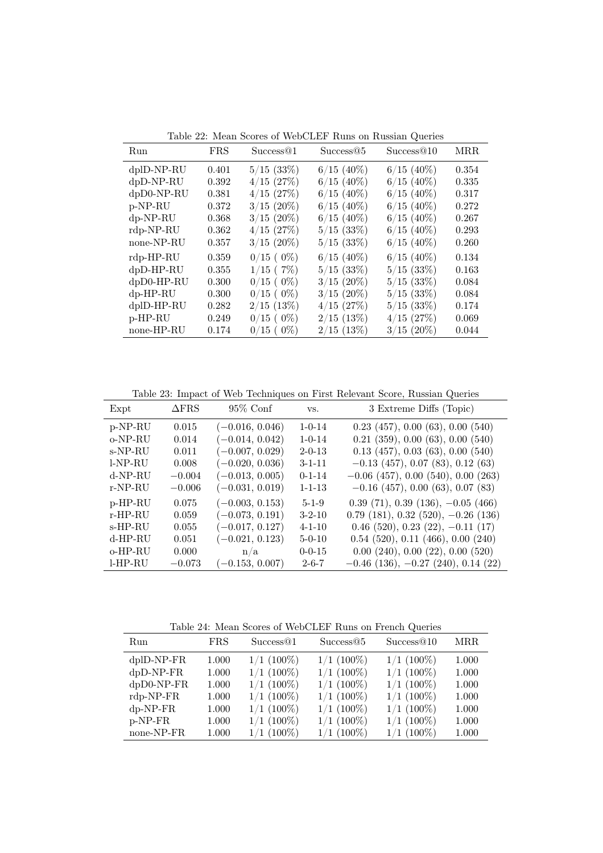| Run           | <b>FRS</b> | Success@1        | Success@5      | Success@10    | MRR.  |
|---------------|------------|------------------|----------------|---------------|-------|
| dplD-NP-RU    | 0.401      | $5/15$ (33\%)    | $6/15$ (40%)   | $6/15$ (40%)  | 0.354 |
| $dpD-NP-RU$   | 0.392      | $4/15$ (27%)     | $6/15$ (40%)   | $6/15$ (40%)  | 0.335 |
| $dpD0-NP-RU$  | 0.381      | $4/15$ (27\%)    | $6/15$ (40%)   | $6/15$ (40%)  | 0.317 |
| p-NP-RU       | 0.372      | $3/15$ (20%)     | $6/15$ (40%)   | $6/15$ (40%)  | 0.272 |
| $dp-NP-RU$    | 0.368      | $3/15$ (20%)     | $6/15$ (40%)   | $6/15$ (40%)  | 0.267 |
| $rdp-NP-RU$   | 0.362      | $4/15$ (27\%)    | $5/15$ $(33%)$ | $6/15$ (40%)  | 0.293 |
| none-NP-RU    | 0.357      | $3/15$ (20%)     | $5/15$ (33\%)  | $6/15$ (40%)  | 0.260 |
| $rdp$ -HP-RU  | 0.359      | $0/15$ ( $0\%$ ) | $6/15$ (40%)   | $6/15$ (40%)  | 0.134 |
| $dpD-HP-RU$   | 0.355      | $1/15$ (7%)      | $5/15$ (33%)   | $5/15$ (33%)  | 0.163 |
| $dpD0-HP-RU$  | 0.300      | $0/15$ ( $0\%$ ) | $3/15$ (20%)   | $5/15$ (33\%) | 0.084 |
| $dp$ -HP-RU   | 0.300      | $0/15$ ( $0\%$ ) | $3/15$ (20%)   | $5/15$ (33\%) | 0.084 |
| $d$ plD-HP-RU | 0.282      | $2/15$ (13%)     | $4/15$ (27\%)  | $5/15$ (33\%) | 0.174 |
| p-HP-RU       | 0.249      | $0/15$ ( $0\%$ ) | $2/15$ (13\%)  | $4/15$ (27\%) | 0.069 |
| none-HP-RU    | 0.174      | $0/15$ ( $0\%$ ) | $2/15$ (13\%)  | $3/15$ (20%)  | 0.044 |

Table 22: Mean Scores of WebCLEF Runs on Russian Queries

Table 23: Impact of Web Techniques on First Relevant Score, Russian Queries

| $95\%$ Conf<br>3 Extreme Diffs (Topic)<br>Expt                                                           |  |
|----------------------------------------------------------------------------------------------------------|--|
| $(-0.016, 0.046)$<br>$0.23$ (457), $0.00$ (63), $0.00$ (540)<br>p-NP-RU<br>0.015<br>$1 - 0 - 14$         |  |
| $(-0.014, 0.042)$<br>$0.21$ $(359)$ , $0.00$ $(63)$ , $0.00$ $(540)$<br>o-NP-RU<br>0.014<br>$1 - 0 - 14$ |  |
| $(-0.007, 0.029)$<br>$0.13$ (457), $0.03$ (63), $0.00$ (540)<br>s-NP-RU<br>0.011<br>$2 - 0 - 13$         |  |
| $(-0.020, 0.036)$<br>$l-NP-RU$<br>$-0.13$ (457), 0.07 (83), 0.12 (63)<br>$3 - 1 - 11$<br>0.008           |  |
| d-NP-RU<br>$(-0.013, 0.005)$<br>$-0.06$ (457), 0.00 (540), 0.00 (263)<br>$-0.004$<br>$0 - 1 - 14$        |  |
| $(-0.031, 0.019)$<br>$-0.16$ (457), 0.00 (63), 0.07 (83)<br>r-NP-RU<br>$-0.006$<br>$1 - 1 - 13$          |  |
| $0.39(71), 0.39(136), -0.05(466)$<br>p-HP-RU<br>$(-0.003, 0.153)$<br>0.075<br>$5 - 1 - 9$                |  |
| $(-0.073, 0.191)$<br>$0.79$ (181), $0.32$ (520), $-0.26$ (136)<br>$3 - 2 - 10$<br>r-HP-RU<br>0.059       |  |
| $(-0.017, 0.127)$<br>$0.46$ (520), 0.23 (22), $-0.11$ (17)<br>s-HP-RU<br>0.055<br>$4 - 1 - 10$           |  |
| $0.54$ (520), 0.11 (466), 0.00 (240)<br>d-HP-RU<br>$(-0.021, 0.123)$<br>0.051<br>$5 - 0 - 10$            |  |
| $0.00$ $(240)$ , $0.00$ $(22)$ , $0.00$ $(520)$<br>o-HP-RU<br>0.000<br>$0 - 0 - 15$<br>n/a               |  |
| $l$ -HP-RU<br>$(-0.153, 0.007)$<br>$-0.46$ (136), $-0.27$ (240), 0.14 (22)<br>$2 - 6 - 7$<br>$-0.073$    |  |

Table 24: Mean Scores of WebCLEF Runs on French Queries

|              |            | Twore = it inform good of the condition on fronting water of |              |              |            |
|--------------|------------|--------------------------------------------------------------|--------------|--------------|------------|
| Run          | <b>FRS</b> | Success@1                                                    | Success@5    | Success@10   | <b>MRR</b> |
| $dplD-NP-FR$ | 1.000      | $1/1$ (100%)                                                 | $1/1$ (100%) | $1/1$ (100%) | 1.000      |
| $dpD-NP-FR$  | 1.000      | $1/1$ (100%)                                                 | $1/1$ (100%) | $1/1$ (100%) | 1.000      |
| $dpD0-NP-FR$ | 1.000      | $1/1$ (100%)                                                 | $1/1$ (100%) | $1/1$ (100%) | 1.000      |
| $rdp-NP-FR$  | 1.000      | $1/1$ (100%)                                                 | $1/1$ (100%) | $1/1$ (100%) | 1.000      |
| $dp-NP-FR$   | 1.000      | $1/1$ (100%)                                                 | $1/1$ (100%) | $1/1$ (100%) | 1.000      |
| $p-NP-FR$    | 1.000      | $1/1$ (100%)                                                 | $1/1$ (100%) | $1/1$ (100%) | 1.000      |
| none-NP-FR   | 1.000      | $1/1$ (100%)                                                 | $1/1$ (100%) | $1/1$ (100%) | 1.000      |